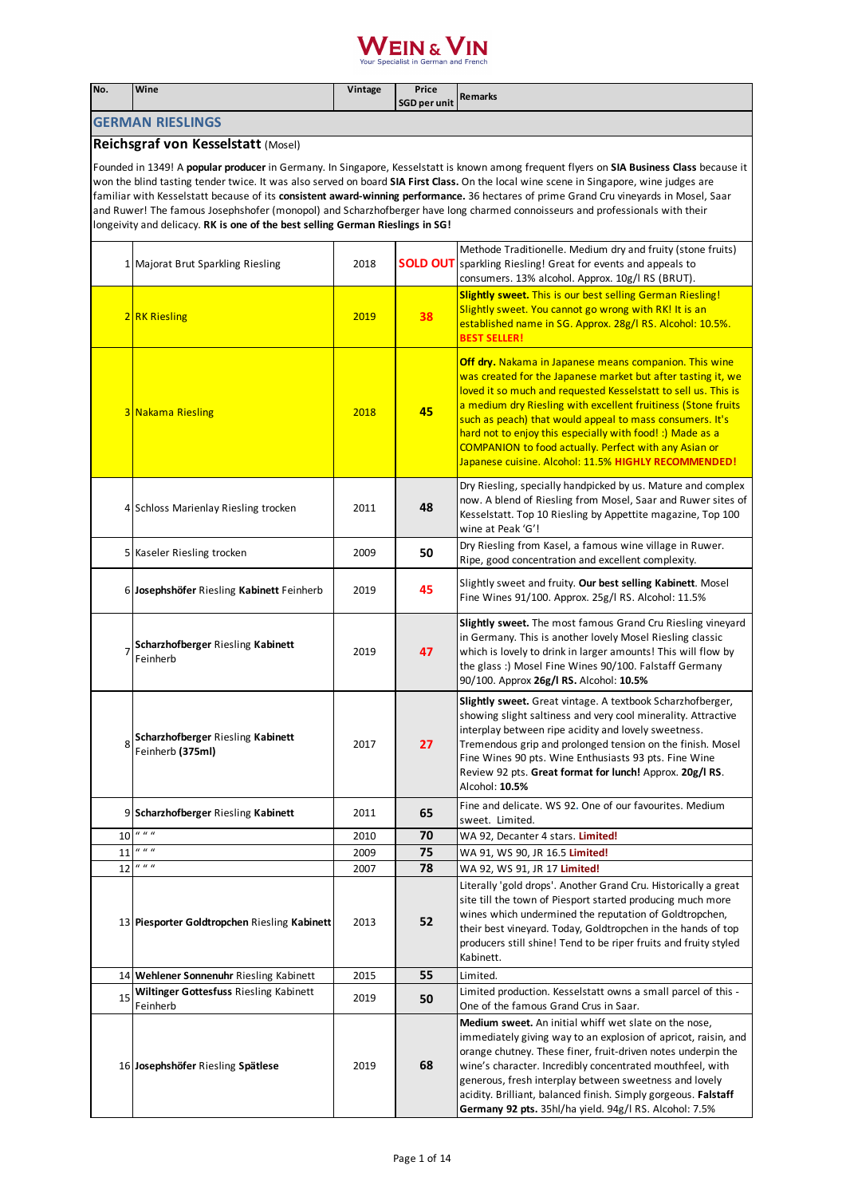| No.                                                                                                                                                                                                                                                                                                                                                                                                                                                                                                                                                                                                                                                    | Wine                                                                                               | Vintage      | Price<br><b>SGD per unit</b> | <b>Remarks</b>                                                                                                                                                                                                                                                                                                                                                                                                                                                                                                    |  |
|--------------------------------------------------------------------------------------------------------------------------------------------------------------------------------------------------------------------------------------------------------------------------------------------------------------------------------------------------------------------------------------------------------------------------------------------------------------------------------------------------------------------------------------------------------------------------------------------------------------------------------------------------------|----------------------------------------------------------------------------------------------------|--------------|------------------------------|-------------------------------------------------------------------------------------------------------------------------------------------------------------------------------------------------------------------------------------------------------------------------------------------------------------------------------------------------------------------------------------------------------------------------------------------------------------------------------------------------------------------|--|
|                                                                                                                                                                                                                                                                                                                                                                                                                                                                                                                                                                                                                                                        | <b>GERMAN RIESLINGS</b>                                                                            |              |                              |                                                                                                                                                                                                                                                                                                                                                                                                                                                                                                                   |  |
|                                                                                                                                                                                                                                                                                                                                                                                                                                                                                                                                                                                                                                                        | Reichsgraf von Kesselstatt (Mosel)                                                                 |              |                              |                                                                                                                                                                                                                                                                                                                                                                                                                                                                                                                   |  |
| Founded in 1349! A <b>popular producer</b> in Germany. In Singapore, Kesselstatt is known among frequent flyers on SIA Business Class because it<br>won the blind tasting tender twice. It was also served on board SIA First Class. On the local wine scene in Singapore, wine judges are<br>familiar with Kesselstatt because of its consistent award-winning performance. 36 hectares of prime Grand Cru vineyards in Mosel, Saar<br>and Ruwer! The famous Josephshofer (monopol) and Scharzhofberger have long charmed connoisseurs and professionals with their<br>longeivity and delicacy. RK is one of the best selling German Rieslings in SG! |                                                                                                    |              |                              |                                                                                                                                                                                                                                                                                                                                                                                                                                                                                                                   |  |
|                                                                                                                                                                                                                                                                                                                                                                                                                                                                                                                                                                                                                                                        | 1 Majorat Brut Sparkling Riesling                                                                  | 2018         |                              | Methode Traditionelle. Medium dry and fruity (stone fruits)<br><b>SOLD OUT</b> sparkling Riesling! Great for events and appeals to<br>consumers. 13% alcohol. Approx. 10g/l RS (BRUT).                                                                                                                                                                                                                                                                                                                            |  |
|                                                                                                                                                                                                                                                                                                                                                                                                                                                                                                                                                                                                                                                        | 2RK Riesling                                                                                       | 2019         | 38                           | <b>Slightly sweet.</b> This is our best selling German Riesling!<br>Slightly sweet. You cannot go wrong with RK! It is an<br>established name in SG. Approx. 28g/l RS. Alcohol: 10.5%.<br><b>BEST SELLER!</b>                                                                                                                                                                                                                                                                                                     |  |
|                                                                                                                                                                                                                                                                                                                                                                                                                                                                                                                                                                                                                                                        | <b>3 Nakama Riesling</b>                                                                           | 2018         | 45                           | <b>Off dry.</b> Nakama in Japanese means companion. This wine<br>was created for the Japanese market but after tasting it, we<br>loved it so much and requested Kesselstatt to sell us. This is<br>a medium dry Riesling with excellent fruitiness (Stone fruits<br>such as peach) that would appeal to mass consumers. It's<br>hard not to enjoy this especially with food! :) Made as a<br><b>COMPANION to food actually. Perfect with any Asian or</b><br>Japanese cuisine. Alcohol: 11.5% HIGHLY RECOMMENDED! |  |
|                                                                                                                                                                                                                                                                                                                                                                                                                                                                                                                                                                                                                                                        | 4 Schloss Marienlay Riesling trocken                                                               | 2011         | 48                           | Dry Riesling, specially handpicked by us. Mature and complex<br>now. A blend of Riesling from Mosel, Saar and Ruwer sites of<br>Kesselstatt. Top 10 Riesling by Appettite magazine, Top 100<br>wine at Peak 'G'!                                                                                                                                                                                                                                                                                                  |  |
|                                                                                                                                                                                                                                                                                                                                                                                                                                                                                                                                                                                                                                                        | 5 Kaseler Riesling trocken                                                                         | 2009         | 50                           | Dry Riesling from Kasel, a famous wine village in Ruwer.<br>Ripe, good concentration and excellent complexity.                                                                                                                                                                                                                                                                                                                                                                                                    |  |
|                                                                                                                                                                                                                                                                                                                                                                                                                                                                                                                                                                                                                                                        | 6 Josephshöfer Riesling Kabinett Feinherb                                                          | 2019         | 45                           | Slightly sweet and fruity. Our best selling Kabinett. Mosel<br>Fine Wines 91/100. Approx. 25g/l RS. Alcohol: 11.5%                                                                                                                                                                                                                                                                                                                                                                                                |  |
|                                                                                                                                                                                                                                                                                                                                                                                                                                                                                                                                                                                                                                                        | Scharzhofberger Riesling Kabinett<br>Feinherb                                                      | 2019         | 47                           | <b>Slightly sweet.</b> The most famous Grand Cru Riesling vineyard<br>in Germany. This is another lovely Mosel Riesling classic<br>which is lovely to drink in larger amounts! This will flow by<br>the glass :) Mosel Fine Wines 90/100. Falstaff Germany<br>90/100. Approx 26g/l RS. Alcohol: 10.5%                                                                                                                                                                                                             |  |
| 8                                                                                                                                                                                                                                                                                                                                                                                                                                                                                                                                                                                                                                                      | Scharzhofberger Riesling Kabinett<br>Feinherb (375ml)                                              | 2017         | 27                           | Slightly sweet. Great vintage. A textbook Scharzhofberger,<br>showing slight saltiness and very cool minerality. Attractive<br>interplay between ripe acidity and lovely sweetness.<br>Tremendous grip and prolonged tension on the finish. Mosel<br>Fine Wines 90 pts. Wine Enthusiasts 93 pts. Fine Wine<br>Review 92 pts. Great format for lunch! Approx. 20g/l RS.<br>Alcohol: 10.5%                                                                                                                          |  |
|                                                                                                                                                                                                                                                                                                                                                                                                                                                                                                                                                                                                                                                        | 9 Scharzhofberger Riesling Kabinett                                                                | 2011         | 65                           | Fine and delicate. WS 92. One of our favourites. Medium<br>sweet. Limited.                                                                                                                                                                                                                                                                                                                                                                                                                                        |  |
| 10                                                                                                                                                                                                                                                                                                                                                                                                                                                                                                                                                                                                                                                     | $\boldsymbol{u}$ $\boldsymbol{u}$ $\boldsymbol{u}$                                                 | 2010         | 70                           | WA 92, Decanter 4 stars. Limited!                                                                                                                                                                                                                                                                                                                                                                                                                                                                                 |  |
| 11                                                                                                                                                                                                                                                                                                                                                                                                                                                                                                                                                                                                                                                     | $\boldsymbol{u}$ $\boldsymbol{u}$ $\boldsymbol{u}$                                                 | 2009         | 75                           | WA 91, WS 90, JR 16.5 Limited!                                                                                                                                                                                                                                                                                                                                                                                                                                                                                    |  |
| 12                                                                                                                                                                                                                                                                                                                                                                                                                                                                                                                                                                                                                                                     | $\boldsymbol{u}$ $\boldsymbol{u}$ $\boldsymbol{u}$<br>13 Piesporter Goldtropchen Riesling Kabinett | 2007<br>2013 | 78<br>52                     | WA 92, WS 91, JR 17 Limited!<br>Literally 'gold drops'. Another Grand Cru. Historically a great<br>site till the town of Piesport started producing much more<br>wines which undermined the reputation of Goldtropchen,<br>their best vineyard. Today, Goldtropchen in the hands of top<br>producers still shine! Tend to be riper fruits and fruity styled<br>Kabinett.                                                                                                                                          |  |
|                                                                                                                                                                                                                                                                                                                                                                                                                                                                                                                                                                                                                                                        | 14 Wehlener Sonnenuhr Riesling Kabinett                                                            | 2015         | 55                           | Limited.                                                                                                                                                                                                                                                                                                                                                                                                                                                                                                          |  |
| 15                                                                                                                                                                                                                                                                                                                                                                                                                                                                                                                                                                                                                                                     | Wiltinger Gottesfuss Riesling Kabinett<br>Feinherb                                                 | 2019         | 50                           | Limited production. Kesselstatt owns a small parcel of this -<br>One of the famous Grand Crus in Saar.                                                                                                                                                                                                                                                                                                                                                                                                            |  |
|                                                                                                                                                                                                                                                                                                                                                                                                                                                                                                                                                                                                                                                        | 16 Josephshöfer Riesling Spätlese                                                                  | 2019         | 68                           | <b>Medium sweet.</b> An initial whiff wet slate on the nose,<br>immediately giving way to an explosion of apricot, raisin, and<br>orange chutney. These finer, fruit-driven notes underpin the<br>wine's character. Incredibly concentrated mouthfeel, with<br>generous, fresh interplay between sweetness and lovely<br>acidity. Brilliant, balanced finish. Simply gorgeous. Falstaff<br>Germany 92 pts. 35hl/ha yield. 94g/l RS. Alcohol: 7.5%                                                                 |  |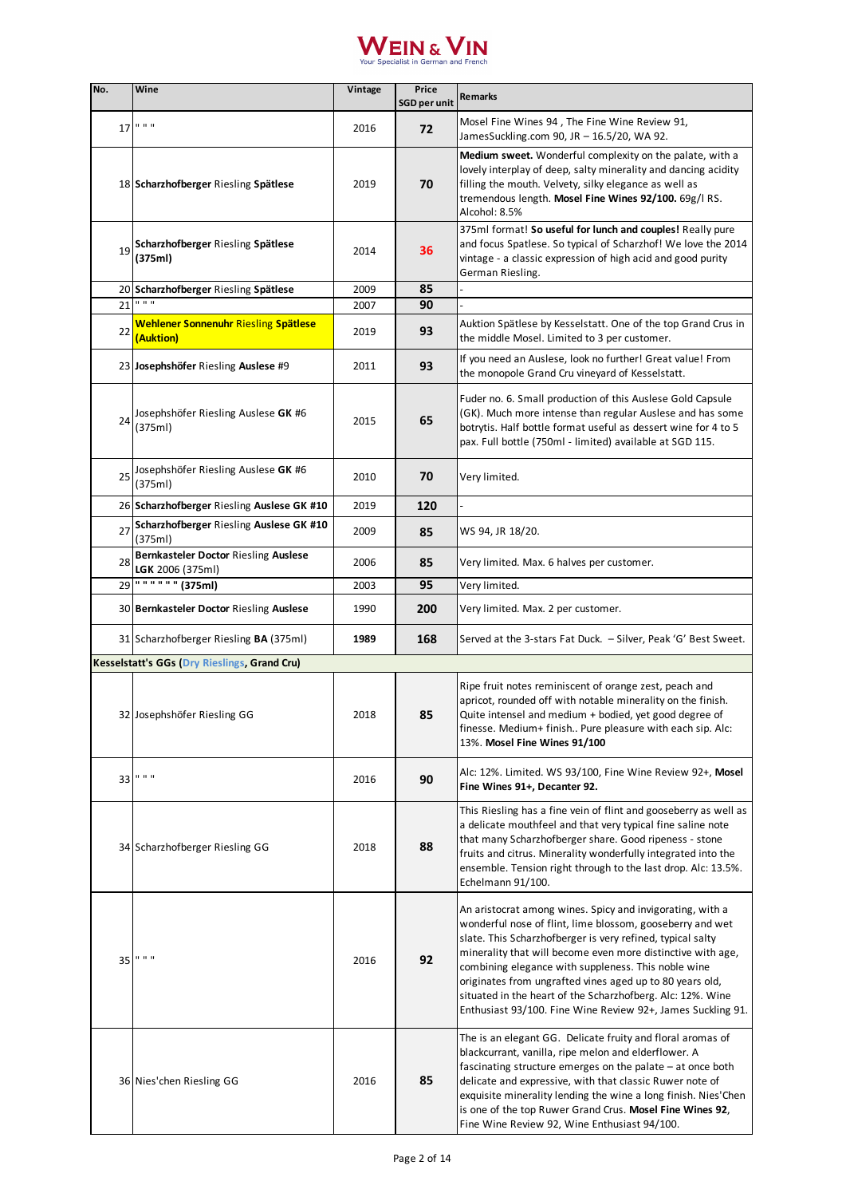

| No. | Wine                                                     | Vintage | Price<br><b>SGD per unit</b> | Remarks                                                                                                                                                                                                                                                                                                                                                                                                                                                                                             |
|-----|----------------------------------------------------------|---------|------------------------------|-----------------------------------------------------------------------------------------------------------------------------------------------------------------------------------------------------------------------------------------------------------------------------------------------------------------------------------------------------------------------------------------------------------------------------------------------------------------------------------------------------|
| 17  | 0.000                                                    | 2016    | 72                           | Mosel Fine Wines 94, The Fine Wine Review 91,<br>JamesSuckling.com 90, JR - 16.5/20, WA 92.                                                                                                                                                                                                                                                                                                                                                                                                         |
|     | 18 Scharzhofberger Riesling Spätlese                     | 2019    | 70                           | Medium sweet. Wonderful complexity on the palate, with a<br>lovely interplay of deep, salty minerality and dancing acidity<br>filling the mouth. Velvety, silky elegance as well as<br>tremendous length. Mosel Fine Wines 92/100. 69g/l RS.<br>Alcohol: 8.5%                                                                                                                                                                                                                                       |
| 19  | Scharzhofberger Riesling Spätlese<br>(375ml)             | 2014    | 36                           | 375ml format! So useful for lunch and couples! Really pure<br>and focus Spatlese. So typical of Scharzhof! We love the 2014<br>vintage - a classic expression of high acid and good purity<br>German Riesling.                                                                                                                                                                                                                                                                                      |
|     | 20 Scharzhofberger Riesling Spätlese<br>0, 0, 0          | 2009    | 85                           |                                                                                                                                                                                                                                                                                                                                                                                                                                                                                                     |
| 21  |                                                          | 2007    | 90                           |                                                                                                                                                                                                                                                                                                                                                                                                                                                                                                     |
| 22  | Wehlener Sonnenuhr Riesling Spätlese<br>(Auktion)        | 2019    | 93                           | Auktion Spätlese by Kesselstatt. One of the top Grand Crus in<br>the middle Mosel. Limited to 3 per customer.                                                                                                                                                                                                                                                                                                                                                                                       |
|     | 23 Josephshöfer Riesling Auslese #9                      | 2011    | 93                           | If you need an Auslese, look no further! Great value! From<br>the monopole Grand Cru vineyard of Kesselstatt.                                                                                                                                                                                                                                                                                                                                                                                       |
| 24  | Josephshöfer Riesling Auslese GK #6<br>(375ml)           | 2015    | 65                           | Fuder no. 6. Small production of this Auslese Gold Capsule<br>(GK). Much more intense than regular Auslese and has some<br>botrytis. Half bottle format useful as dessert wine for 4 to 5<br>pax. Full bottle (750ml - limited) available at SGD 115.                                                                                                                                                                                                                                               |
| 25  | Josephshöfer Riesling Auslese GK #6<br>(375ml)           | 2010    | 70                           | Very limited.                                                                                                                                                                                                                                                                                                                                                                                                                                                                                       |
|     | 26 Scharzhofberger Riesling Auslese GK #10               | 2019    | 120                          |                                                                                                                                                                                                                                                                                                                                                                                                                                                                                                     |
| 27  | Scharzhofberger Riesling Auslese GK #10<br>(375ml)       | 2009    | 85                           | WS 94, JR 18/20.                                                                                                                                                                                                                                                                                                                                                                                                                                                                                    |
| 28  | Bernkasteler Doctor Riesling Auslese<br>LGK 2006 (375ml) | 2006    | 85                           | Very limited. Max. 6 halves per customer.                                                                                                                                                                                                                                                                                                                                                                                                                                                           |
| 29  | $\frac{1}{100}$ (375ml)                                  | 2003    | 95                           | Very limited.                                                                                                                                                                                                                                                                                                                                                                                                                                                                                       |
|     | 30 Bernkasteler Doctor Riesling Auslese                  | 1990    | 200                          | Very limited. Max. 2 per customer.                                                                                                                                                                                                                                                                                                                                                                                                                                                                  |
|     | 31 Scharzhofberger Riesling BA (375ml)                   | 1989    | 168                          | Served at the 3-stars Fat Duck. - Silver, Peak 'G' Best Sweet.                                                                                                                                                                                                                                                                                                                                                                                                                                      |
|     | <b>Kesselstatt's GGs (Dry Rieslings, Grand Cru)</b>      |         |                              |                                                                                                                                                                                                                                                                                                                                                                                                                                                                                                     |
|     | 32 Josephshöfer Riesling GG                              | 2018    | 85                           | Ripe fruit notes reminiscent of orange zest, peach and<br>apricot, rounded off with notable minerality on the finish.<br>Quite intensel and medium + bodied, yet good degree of<br>finesse. Medium+ finish Pure pleasure with each sip. Alc:<br>13%. Mosel Fine Wines 91/100                                                                                                                                                                                                                        |
| 33  | 0.000                                                    | 2016    | 90                           | Alc: 12%. Limited. WS 93/100, Fine Wine Review 92+, Mosel<br>Fine Wines 91+, Decanter 92.                                                                                                                                                                                                                                                                                                                                                                                                           |
|     | 34 Scharzhofberger Riesling GG                           | 2018    | 88                           | This Riesling has a fine vein of flint and gooseberry as well as<br>a delicate mouthfeel and that very typical fine saline note<br>that many Scharzhofberger share. Good ripeness - stone<br>fruits and citrus. Minerality wonderfully integrated into the<br>ensemble. Tension right through to the last drop. Alc: 13.5%.<br>Echelmann 91/100.                                                                                                                                                    |
| 35  | $11 - 11 - 11$                                           | 2016    | 92                           | An aristocrat among wines. Spicy and invigorating, with a<br>wonderful nose of flint, lime blossom, gooseberry and wet<br>slate. This Scharzhofberger is very refined, typical salty<br>minerality that will become even more distinctive with age,<br>combining elegance with suppleness. This noble wine<br>originates from ungrafted vines aged up to 80 years old,<br>situated in the heart of the Scharzhofberg. Alc: 12%. Wine<br>Enthusiast 93/100. Fine Wine Review 92+, James Suckling 91. |
|     | 36 Nies' chen Riesling GG                                | 2016    | 85                           | The is an elegant GG. Delicate fruity and floral aromas of<br>blackcurrant, vanilla, ripe melon and elderflower. A<br>fascinating structure emerges on the palate - at once both<br>delicate and expressive, with that classic Ruwer note of<br>exquisite minerality lending the wine a long finish. Nies'Chen<br>is one of the top Ruwer Grand Crus. Mosel Fine Wines 92,<br>Fine Wine Review 92, Wine Enthusiast 94/100.                                                                          |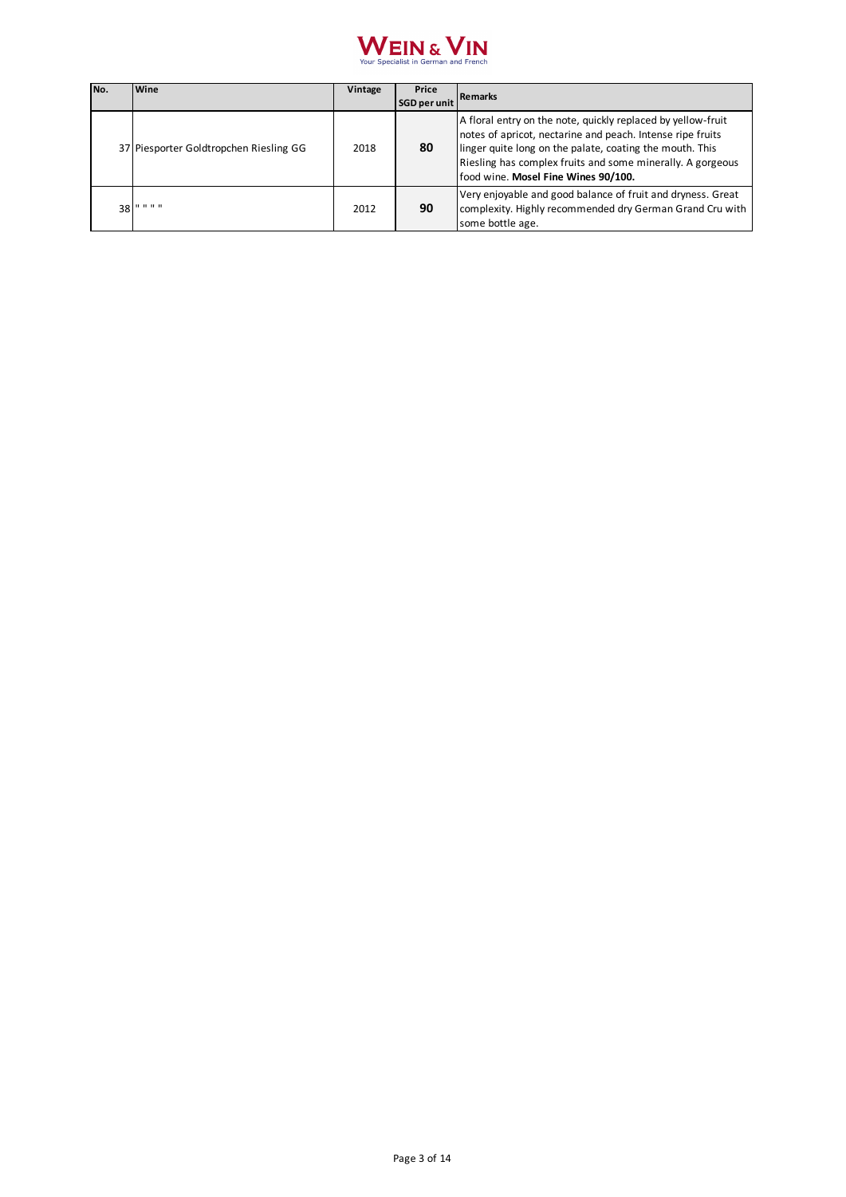

| No. | Wine                                   | Vintage | Price<br><b>SGD per unit</b> | <b>Remarks</b>                                                                                                                                                                                                                                                                              |
|-----|----------------------------------------|---------|------------------------------|---------------------------------------------------------------------------------------------------------------------------------------------------------------------------------------------------------------------------------------------------------------------------------------------|
|     | 37 Piesporter Goldtropchen Riesling GG | 2018    | 80                           | A floral entry on the note, quickly replaced by yellow-fruit<br>notes of apricot, nectarine and peach. Intense ripe fruits<br>linger quite long on the palate, coating the mouth. This<br>Riesling has complex fruits and some minerally. A gorgeous<br>food wine. Mosel Fine Wines 90/100. |
| 38  | .                                      | 2012    | 90                           | Very enjoyable and good balance of fruit and dryness. Great<br>complexity. Highly recommended dry German Grand Cru with<br>some bottle age.                                                                                                                                                 |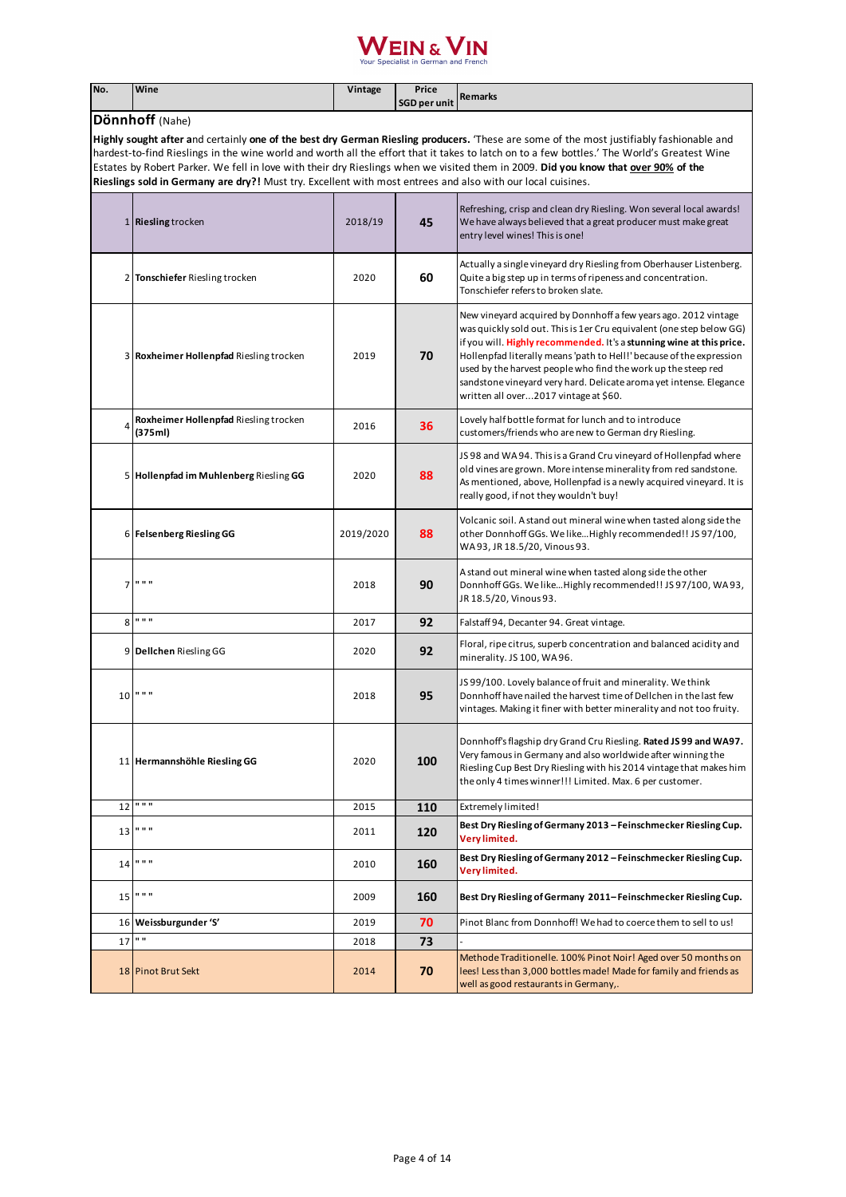| No. | Wine                                                                                                        | Vintage   | Price<br><b>SGD per unit</b> | Remarks                                                                                                                                                                                                                                                                                                                                                                                                                                                                 |  |  |
|-----|-------------------------------------------------------------------------------------------------------------|-----------|------------------------------|-------------------------------------------------------------------------------------------------------------------------------------------------------------------------------------------------------------------------------------------------------------------------------------------------------------------------------------------------------------------------------------------------------------------------------------------------------------------------|--|--|
|     | Dönnhoff (Nahe)                                                                                             |           |                              |                                                                                                                                                                                                                                                                                                                                                                                                                                                                         |  |  |
|     | Rieslings sold in Germany are dry?! Must try. Excellent with most entrees and also with our local cuisines. |           |                              | Highly sought after and certainly one of the best dry German Riesling producers. 'These are some of the most justifiably fashionable and<br>hardest-to-find Rieslings in the wine world and worth all the effort that it takes to latch on to a few bottles.' The World's Greatest Wine<br>Estates by Robert Parker. We fell in love with their dry Rieslings when we visited them in 2009. Did you know that over 90% of the                                           |  |  |
|     | 1 Riesling trocken                                                                                          | 2018/19   | 45                           | Refreshing, crisp and clean dry Riesling. Won several local awards!<br>We have always believed that a great producer must make great<br>entry level wines! This is one!                                                                                                                                                                                                                                                                                                 |  |  |
|     | 2 Tonschiefer Riesling trocken                                                                              | 2020      | 60                           | Actually a single vineyard dry Riesling from Oberhauser Listenberg.<br>Quite a big step up in terms of ripeness and concentration.<br>Tonschiefer refers to broken slate.                                                                                                                                                                                                                                                                                               |  |  |
|     | 3 Roxheimer Hollenpfad Riesling trocken                                                                     | 2019      | 70                           | New vineyard acquired by Donnhoff a few years ago. 2012 vintage<br>was quickly sold out. This is 1er Cru equivalent (one step below GG)<br>if you will. Highly recommended. It's a stunning wine at this price.<br>Hollenpfad literally means 'path to Hell!' because of the expression<br>used by the harvest people who find the work up the steep red<br>sandstone vineyard very hard. Delicate aroma yet intense. Elegance<br>written all over2017 vintage at \$60. |  |  |
| 4   | Roxheimer Hollenpfad Riesling trocken<br>(375ml)                                                            | 2016      | 36                           | Lovely half bottle format for lunch and to introduce<br>customers/friends who are new to German dry Riesling.                                                                                                                                                                                                                                                                                                                                                           |  |  |
|     | 5 Hollenpfad im Muhlenberg Riesling GG                                                                      | 2020      | 88                           | JS98 and WA94. This is a Grand Cru vineyard of Hollenpfad where<br>old vines are grown. More intense minerality from red sandstone.<br>As mentioned, above, Hollenpfad is a newly acquired vineyard. It is<br>really good, if not they wouldn't buy!                                                                                                                                                                                                                    |  |  |
|     | 6   Felsenberg Riesling GG                                                                                  | 2019/2020 | 88                           | Volcanic soil. A stand out mineral wine when tasted along side the<br>other Donnhoff GGs. We likeHighly recommended!! JS 97/100,<br>WA93, JR 18.5/20, Vinous 93.                                                                                                                                                                                                                                                                                                        |  |  |
|     | $7$ " " "                                                                                                   | 2018      | 90                           | A stand out mineral wine when tasted along side the other<br>Donnhoff GGs. We like Highly recommended!! JS 97/100, WA 93,<br>JR 18.5/20, Vinous 93.                                                                                                                                                                                                                                                                                                                     |  |  |
| 8   | 0.0.0                                                                                                       | 2017      | 92                           | Falstaff 94, Decanter 94. Great vintage.                                                                                                                                                                                                                                                                                                                                                                                                                                |  |  |
|     | 9 Dellchen Riesling GG                                                                                      | 2020      | 92                           | Floral, ripe citrus, superb concentration and balanced acidity and<br>minerality. JS 100, WA96.                                                                                                                                                                                                                                                                                                                                                                         |  |  |
| 10  | 11.11.11                                                                                                    | 2018      | 95                           | JS 99/100. Lovely balance of fruit and minerality. We think<br>Donnhoff have nailed the harvest time of Dellchen in the last few<br>vintages. Making it finer with better minerality and not too fruity.                                                                                                                                                                                                                                                                |  |  |
|     | 11 Hermannshöhle Riesling GG                                                                                | 2020      | 100                          | Donnhoff's flagship dry Grand Cru Riesling. Rated JS 99 and WA97.<br>Very famous in Germany and also worldwide after winning the<br>Riesling Cup Best Dry Riesling with his 2014 vintage that makes him<br>the only 4 times winner!!! Limited. Max. 6 per customer.                                                                                                                                                                                                     |  |  |
| 12  | 0.0.0                                                                                                       | 2015      | 110                          | Extremely limited!                                                                                                                                                                                                                                                                                                                                                                                                                                                      |  |  |
|     | $13$ " " "                                                                                                  | 2011      | 120                          | Best Dry Riesling of Germany 2013 - Feinschmecker Riesling Cup.<br>Very limited.                                                                                                                                                                                                                                                                                                                                                                                        |  |  |
| 14  | 0.0.0                                                                                                       | 2010      | 160                          | Best Dry Riesling of Germany 2012 - Feinschmecker Riesling Cup.<br>Very limited.                                                                                                                                                                                                                                                                                                                                                                                        |  |  |
| 15  | 0.0.0                                                                                                       | 2009      | 160                          | Best Dry Riesling of Germany 2011-Feinschmecker Riesling Cup.                                                                                                                                                                                                                                                                                                                                                                                                           |  |  |
|     | 16 Weissburgunder 'S'                                                                                       | 2019      | 70                           | Pinot Blanc from Donnhoff! We had to coerce them to sell to us!                                                                                                                                                                                                                                                                                                                                                                                                         |  |  |
| 17  | $\mathbf{u}$                                                                                                | 2018      | 73                           |                                                                                                                                                                                                                                                                                                                                                                                                                                                                         |  |  |
|     | 18 Pinot Brut Sekt                                                                                          | 2014      | 70                           | Methode Traditionelle. 100% Pinot Noir! Aged over 50 months on<br>lees! Less than 3,000 bottles made! Made for family and friends as<br>well as good restaurants in Germany,.                                                                                                                                                                                                                                                                                           |  |  |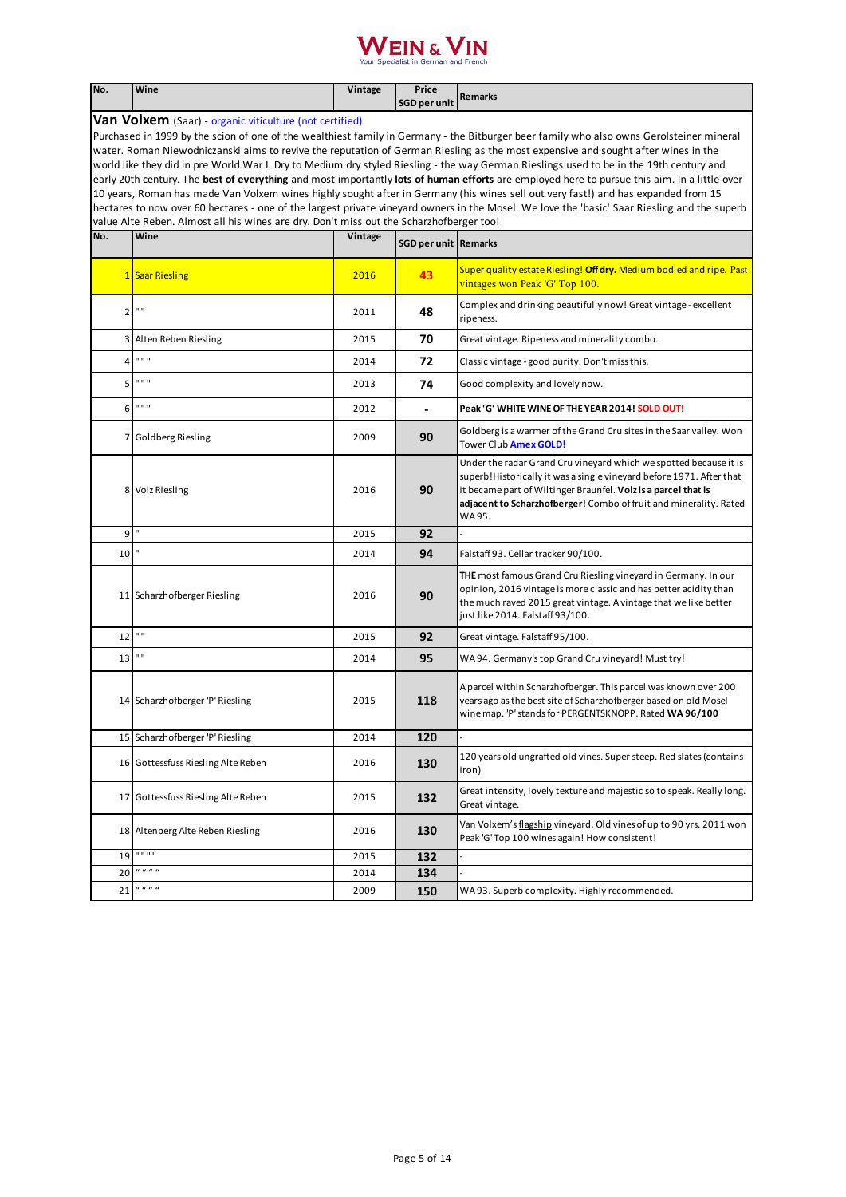| No.                                                                                                                                                                                                                                                                                                                                                                                                                                                                                                                                                                                                                                                                                                                                                                                                                                                                                                                                                      | Wine                                                           | Vintage | Price<br><b>SGD per unit</b> | <b>Remarks</b>                                                                                                                                                                                                                                                                              |  |  |
|----------------------------------------------------------------------------------------------------------------------------------------------------------------------------------------------------------------------------------------------------------------------------------------------------------------------------------------------------------------------------------------------------------------------------------------------------------------------------------------------------------------------------------------------------------------------------------------------------------------------------------------------------------------------------------------------------------------------------------------------------------------------------------------------------------------------------------------------------------------------------------------------------------------------------------------------------------|----------------------------------------------------------------|---------|------------------------------|---------------------------------------------------------------------------------------------------------------------------------------------------------------------------------------------------------------------------------------------------------------------------------------------|--|--|
|                                                                                                                                                                                                                                                                                                                                                                                                                                                                                                                                                                                                                                                                                                                                                                                                                                                                                                                                                          | <b>Van Volxem</b> (Saar) - organic viticulture (not certified) |         |                              |                                                                                                                                                                                                                                                                                             |  |  |
| Purchased in 1999 by the scion of one of the wealthiest family in Germany - the Bitburger beer family who also owns Gerolsteiner mineral<br>water. Roman Niewodniczanski aims to revive the reputation of German Riesling as the most expensive and sought after wines in the<br>world like they did in pre World War I. Dry to Medium dry styled Riesling - the way German Rieslings used to be in the 19th century and<br>early 20th century. The best of everything and most importantly lots of human efforts are employed here to pursue this aim. In a little over<br>10 years, Roman has made Van Volxem wines highly sought after in Germany (his wines sell out very fast!) and has expanded from 15<br>hectares to now over 60 hectares - one of the largest private vineyard owners in the Mosel. We love the 'basic' Saar Riesling and the superb<br>value Alte Reben. Almost all his wines are dry. Don't miss out the Scharzhofberger too! |                                                                |         |                              |                                                                                                                                                                                                                                                                                             |  |  |
| No.                                                                                                                                                                                                                                                                                                                                                                                                                                                                                                                                                                                                                                                                                                                                                                                                                                                                                                                                                      | Wine                                                           | Vintage | <b>SGD per unit Remarks</b>  |                                                                                                                                                                                                                                                                                             |  |  |
|                                                                                                                                                                                                                                                                                                                                                                                                                                                                                                                                                                                                                                                                                                                                                                                                                                                                                                                                                          | 1 Saar Riesling                                                | 2016    | 43                           | Super quality estate Riesling! Off dry. Medium bodied and ripe. Past<br>vintages won Peak 'G' Top 100.                                                                                                                                                                                      |  |  |
| $\overline{2}$                                                                                                                                                                                                                                                                                                                                                                                                                                                                                                                                                                                                                                                                                                                                                                                                                                                                                                                                           | $\mathbf{u}$                                                   | 2011    | 48                           | Complex and drinking beautifully now! Great vintage - excellent<br>ripeness.                                                                                                                                                                                                                |  |  |
|                                                                                                                                                                                                                                                                                                                                                                                                                                                                                                                                                                                                                                                                                                                                                                                                                                                                                                                                                          | 3 Alten Reben Riesling                                         | 2015    | 70                           | Great vintage. Ripeness and minerality combo.                                                                                                                                                                                                                                               |  |  |
| 4                                                                                                                                                                                                                                                                                                                                                                                                                                                                                                                                                                                                                                                                                                                                                                                                                                                                                                                                                        | 0.0.0                                                          | 2014    | 72                           | Classic vintage - good purity. Don't miss this.                                                                                                                                                                                                                                             |  |  |
| 5                                                                                                                                                                                                                                                                                                                                                                                                                                                                                                                                                                                                                                                                                                                                                                                                                                                                                                                                                        | 0.0.0                                                          | 2013    | 74                           | Good complexity and lovely now.                                                                                                                                                                                                                                                             |  |  |
| 6                                                                                                                                                                                                                                                                                                                                                                                                                                                                                                                                                                                                                                                                                                                                                                                                                                                                                                                                                        | 0.0.0                                                          | 2012    |                              | Peak 'G' WHITE WINE OF THE YEAR 2014! SOLD OUT!                                                                                                                                                                                                                                             |  |  |
|                                                                                                                                                                                                                                                                                                                                                                                                                                                                                                                                                                                                                                                                                                                                                                                                                                                                                                                                                          | 7 Goldberg Riesling                                            | 2009    | 90                           | Goldberg is a warmer of the Grand Cru sites in the Saar valley. Won<br>Tower Club <b>Amex GOLD!</b>                                                                                                                                                                                         |  |  |
|                                                                                                                                                                                                                                                                                                                                                                                                                                                                                                                                                                                                                                                                                                                                                                                                                                                                                                                                                          | 8 Volz Riesling                                                | 2016    | 90                           | Under the radar Grand Cru vineyard which we spotted because it is<br>superb! Historically it was a single vineyard before 1971. After that<br>it became part of Wiltinger Braunfel. Volz is a parcel that is<br>adjacent to Scharzhofberger! Combo of fruit and minerality. Rated<br>WA 95. |  |  |
| 9                                                                                                                                                                                                                                                                                                                                                                                                                                                                                                                                                                                                                                                                                                                                                                                                                                                                                                                                                        |                                                                | 2015    | 92                           |                                                                                                                                                                                                                                                                                             |  |  |
| 10                                                                                                                                                                                                                                                                                                                                                                                                                                                                                                                                                                                                                                                                                                                                                                                                                                                                                                                                                       |                                                                | 2014    | 94                           | Falstaff 93. Cellar tracker 90/100.                                                                                                                                                                                                                                                         |  |  |
|                                                                                                                                                                                                                                                                                                                                                                                                                                                                                                                                                                                                                                                                                                                                                                                                                                                                                                                                                          | 11 Scharzhofberger Riesling                                    | 2016    | 90                           | <b>THE</b> most famous Grand Cru Riesling vineyard in Germany. In our<br>opinion, 2016 vintage is more classic and has better acidity than<br>the much raved 2015 great vintage. A vintage that we like better<br>just like 2014. Falstaff 93/100.                                          |  |  |
| 12                                                                                                                                                                                                                                                                                                                                                                                                                                                                                                                                                                                                                                                                                                                                                                                                                                                                                                                                                       | $\mathbf{u}$ .                                                 | 2015    | 92                           | Great vintage. Falstaff 95/100.                                                                                                                                                                                                                                                             |  |  |
| 13                                                                                                                                                                                                                                                                                                                                                                                                                                                                                                                                                                                                                                                                                                                                                                                                                                                                                                                                                       | $\mathbf{u}$                                                   | 2014    | 95                           | WA94. Germany's top Grand Cru vineyard! Must try!                                                                                                                                                                                                                                           |  |  |
|                                                                                                                                                                                                                                                                                                                                                                                                                                                                                                                                                                                                                                                                                                                                                                                                                                                                                                                                                          | 14 Scharzhofberger 'P' Riesling                                | 2015    | 118                          | A parcel within Scharzhofberger. This parcel was known over 200<br>years ago as the best site of Scharzhofberger based on old Mosel<br>wine map. 'P' stands for PERGENTSKNOPP. Rated WA 96/100                                                                                              |  |  |
|                                                                                                                                                                                                                                                                                                                                                                                                                                                                                                                                                                                                                                                                                                                                                                                                                                                                                                                                                          | 15 Scharzhofberger 'P' Riesling                                | 2014    | 120                          |                                                                                                                                                                                                                                                                                             |  |  |
|                                                                                                                                                                                                                                                                                                                                                                                                                                                                                                                                                                                                                                                                                                                                                                                                                                                                                                                                                          | 16 Gottessfuss Riesling Alte Reben                             | 2016    | 130                          | 120 years old ungrafted old vines. Super steep. Red slates (contains<br>iron)                                                                                                                                                                                                               |  |  |
|                                                                                                                                                                                                                                                                                                                                                                                                                                                                                                                                                                                                                                                                                                                                                                                                                                                                                                                                                          | 17 Gottessfuss Riesling Alte Reben                             | 2015    | 132                          | Great intensity, lovely texture and majestic so to speak. Really long.<br>Great vintage.                                                                                                                                                                                                    |  |  |
|                                                                                                                                                                                                                                                                                                                                                                                                                                                                                                                                                                                                                                                                                                                                                                                                                                                                                                                                                          | 18 Altenberg Alte Reben Riesling                               | 2016    | 130                          | Van Volxem's flagship vineyard. Old vines of up to 90 yrs. 2011 won<br>Peak 'G' Top 100 wines again! How consistent!                                                                                                                                                                        |  |  |
| 19                                                                                                                                                                                                                                                                                                                                                                                                                                                                                                                                                                                                                                                                                                                                                                                                                                                                                                                                                       | 0.0.0.0                                                        | 2015    | 132                          |                                                                                                                                                                                                                                                                                             |  |  |
| 20                                                                                                                                                                                                                                                                                                                                                                                                                                                                                                                                                                                                                                                                                                                                                                                                                                                                                                                                                       | $\boldsymbol{u}$ $\boldsymbol{u}$ $\boldsymbol{u}$             | 2014    | 134                          |                                                                                                                                                                                                                                                                                             |  |  |
| 21                                                                                                                                                                                                                                                                                                                                                                                                                                                                                                                                                                                                                                                                                                                                                                                                                                                                                                                                                       | u u u u                                                        | 2009    | 150                          | WA93. Superb complexity. Highly recommended.                                                                                                                                                                                                                                                |  |  |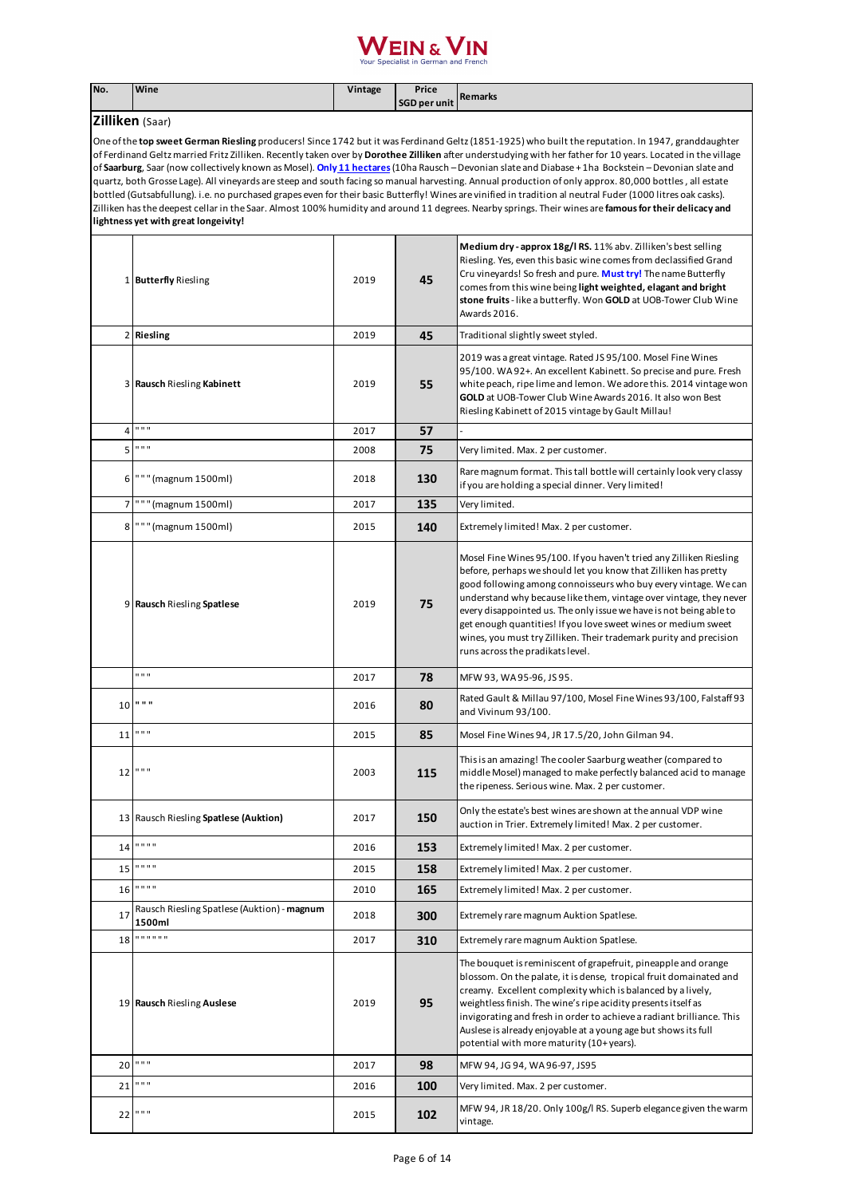#### $\overline{\phantom{a}}$  IN  $\overline{\phantom{a}}$

**No. Wine Vintage Price SGD per unit Remarks Zilliken** (Saar) 1 **Butterfly** Riesling 2019 **45 Medium dry - approx 18g/l RS.** 11% abv. Zilliken's best selling Riesling. Yes, even this basic wine comes from declassified Grand Cru vineyards! So fresh and pure. **Must try!** The name Butterfly comes from this wine being **light weighted, elagant and bright stone fruits** - like a butterfly. Won **GOLD** at UOB-Tower Club Wine Awards 2016. 2 **Riesling** 2019 **45** Traditional slightly sweet styled. 3 **Rausch** Riesling **Kabinett** 2019 **55** 2019 was a great vintage. Rated JS 95/100. Mosel Fine Wines 95/100. WA 92+. An excellent Kabinett. So precise and pure. Fresh white peach, ripe lime and lemon. We adore this. 2014 vintage won **GOLD** at UOB-Tower Club Wine Awards 2016. It also won Best Riesling Kabinett of 2015 vintage by Gault Millau! 4 " " " 2017 **57** - 5<sup>""</sup> 2008 **75** Very limited. Max. 2 per customer. <sup>6</sup> " " " (magnum 1500ml) <sup>2018</sup> **130** Rare magnum format. This tall bottle will certainly look very classy if you are holding a special dinner. Very limited! 7 " " " (magnum 1500ml) 2017 **135** Very limited. 8<sup>"""</sup> (magnum 1500ml) <sup>2015</sup> 140 Extremely limited! Max. 2 per customer. 9 **Rausch** Riesling **Spatlese** 2019 **75** Mosel Fine Wines 95/100. If you haven't tried any Zilliken Riesling before, perhaps we should let you know that Zilliken has pretty good following among connoisseurs who buy every vintage. We can understand why because like them, vintage over vintage, they never every disappointed us. The only issue we have is not being able to get enough quantities! If you love sweet wines or medium sweet wines, you must try Zilliken. Their trademark purity and precision runs across the pradikats level. " " " 2017 **78** MFW 93, WA 95-96, JS 95. 10 **80** Rated Gault & Millau 97/100, Mosel Fine Wines 93/100, Falstaff 93 and Vivinum 93/100. 11 " " " 2015 **85** Mosel Fine Wines 94, JR 17.5/20, John Gilman 94. 12 " " " 2003 **115** This is an amazing! The cooler Saarburg weather (compared to middle Mosel) managed to make perfectly balanced acid to manage the ripeness. Serious wine. Max. 2 per customer. <sup>13</sup> Rausch Riesling **Spatlese (Auktion)** <sup>2017</sup> **150** Only the estate's best wines are shown at the annual VDP wine auction in Trier. Extremely limited! Max. 2 per customer. 14 " " " " 2016 **153** Extremely limited! Max. 2 per customer. 15  $\blacksquare$ <sup>11</sup> 2015 **158** Extremely limited! Max. 2 per customer. 16  $\frac{1}{100}$  **165** Extremely limited! Max. 2 per customer. <sup>17</sup> Rausch Riesling Spatlese (Auktion) - **magnum 1500ml** <sup>2018</sup> **300** Extremely rare magnum Auktion Spatlese. 18 " " " " " " 2017 **310** Extremely rare magnum Auktion Spatlese. 19 **Rausch** Riesling **Auslese** 2019 **95** The bouquet is reminiscent of grapefruit, pineapple and orange blossom. On the palate, it is dense, tropical fruit domainated and creamy. Excellent complexity which is balanced by a lively, weightless finish. The wine's ripe acidity presents itself as invigorating and fresh in order to achieve a radiant brilliance. This Auslese is already enjoyable at a young age but shows its full potential with more maturity (10+ years). 20 " " " 2017 **98** MFW 94, JG 94, WA 96-97, JS95 21 " " " 2016 **100** Very limited. Max. 2 per customer. 22 " " " 2015 **102** MFW 94, JR 18/20. Only 100g/l RS. Superb elegance given the warm One of the **top sweet German Riesling** producers! Since 1742 but it was Ferdinand Geltz (1851-1925) who built the reputation. In 1947, granddaughter of Ferdinand Geltz married Fritz Zilliken. Recently taken over by **Dorothee Zilliken** after understudying with her father for 10 years. Located in the village of **Saarburg**, Saar (now collectively known as Mosel). **Only 11 hectares** (10ha Rausch – Devonian slate and Diabase + 1ha Bockstein – Devonian slate and quartz, both Grosse Lage). All vineyards are steep and south facing so manual harvesting. Annual production of only approx. 80,000 bottles , all estate bottled (Gutsabfullung). i.e. no purchased grapes even for their basic Butterfly! Wines are vinified in tradition al neutral Fuder (1000 litres oak casks). Zilliken has the deepest cellar in the Saar. Almost 100% humidity and around 11 degrees. Nearby springs. Their wines are **famous for their delicacy and lightness yet with great longeivity!**

vintage.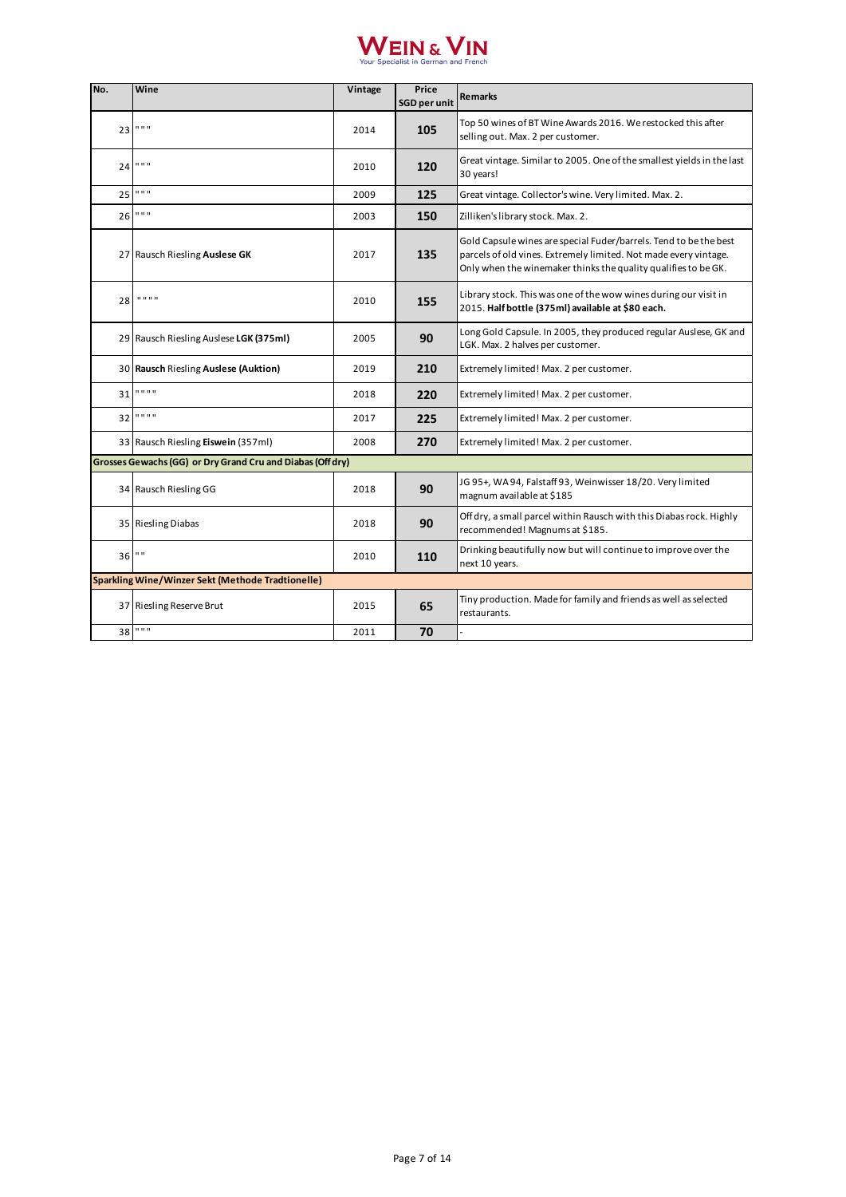| No. | Wine                                                       | Vintage | Price<br><b>SGD per unit</b> | <b>Remarks</b>                                                                                                                                                                                          |
|-----|------------------------------------------------------------|---------|------------------------------|---------------------------------------------------------------------------------------------------------------------------------------------------------------------------------------------------------|
| 23  | .                                                          | 2014    | 105                          | Top 50 wines of BT Wine Awards 2016. We restocked this after<br>selling out. Max. 2 per customer.                                                                                                       |
| 24  | .                                                          | 2010    | 120                          | Great vintage. Similar to 2005. One of the smallest yields in the last<br>30 years!                                                                                                                     |
| 25  | 0.0.0                                                      | 2009    | 125                          | Great vintage. Collector's wine. Very limited. Max. 2.                                                                                                                                                  |
| 26  | .                                                          | 2003    | 150                          | Zilliken's library stock. Max. 2.                                                                                                                                                                       |
|     | 27 Rausch Riesling Auslese GK                              | 2017    | 135                          | Gold Capsule wines are special Fuder/barrels. Tend to be the best<br>parcels of old vines. Extremely limited. Not made every vintage.<br>Only when the winemaker thinks the quality qualifies to be GK. |
| 28  | .                                                          | 2010    | 155                          | Library stock. This was one of the wow wines during our visit in<br>2015. Half bottle (375ml) available at \$80 each.                                                                                   |
|     | 29 Rausch Riesling Auslese LGK (375ml)                     | 2005    | 90                           | Long Gold Capsule. In 2005, they produced regular Auslese, GK and<br>LGK. Max. 2 halves per customer.                                                                                                   |
|     | 30 Rausch Riesling Auslese (Auktion)                       | 2019    | 210                          | Extremely limited! Max. 2 per customer.                                                                                                                                                                 |
| 31  | .                                                          | 2018    | 220                          | Extremely limited! Max. 2 per customer.                                                                                                                                                                 |
| 32  | .                                                          | 2017    | 225                          | Extremely limited! Max. 2 per customer.                                                                                                                                                                 |
|     | 33 Rausch Riesling Eiswein (357ml)                         | 2008    | 270                          | Extremely limited! Max. 2 per customer.                                                                                                                                                                 |
|     | Grosses Gewachs (GG) or Dry Grand Cru and Diabas (Off dry) |         |                              |                                                                                                                                                                                                         |
|     | 34 Rausch Riesling GG                                      | 2018    | 90                           | JG 95+, WA 94, Falstaff 93, Weinwisser 18/20. Very limited<br>magnum available at \$185                                                                                                                 |
|     | 35 Riesling Diabas                                         | 2018    | 90                           | Off dry, a small parcel within Rausch with this Diabas rock. Highly<br>recommended! Magnums at \$185.                                                                                                   |
| 36  | $\mathbf{u}$                                               | 2010    | 110                          | Drinking beautifully now but will continue to improve over the<br>next 10 years.                                                                                                                        |
|     | Sparkling Wine/Winzer Sekt (Methode Tradtionelle)          |         |                              |                                                                                                                                                                                                         |
|     | 37 Riesling Reserve Brut                                   | 2015    | 65                           | Tiny production. Made for family and friends as well as selected<br>restaurants.                                                                                                                        |
| 38  | 0.0.0                                                      | 2011    | 70                           |                                                                                                                                                                                                         |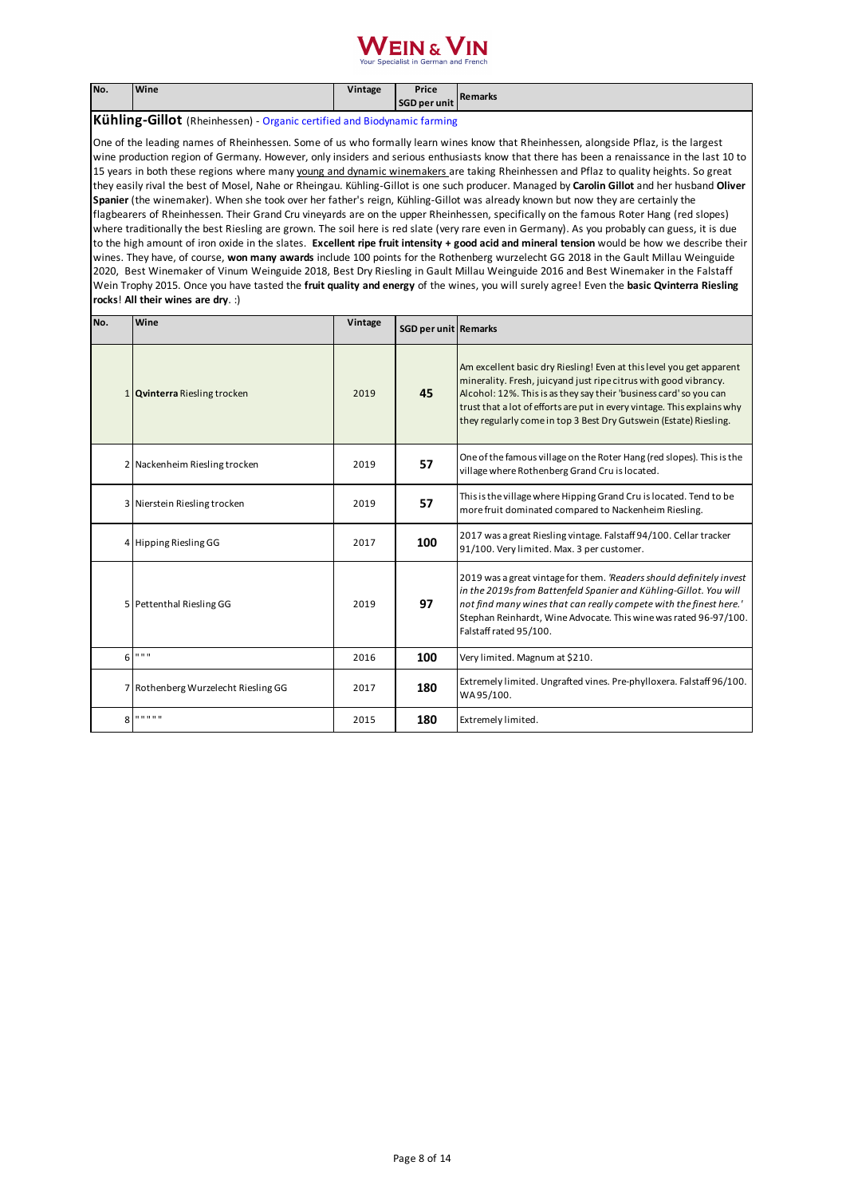#### $F$ IN  $\kappa$   $\overline{\phantom{a}}$

| No. | <b>Wine</b> | Vintage | Price<br><b>SGD per unit</b> | <b>IRemarks</b> |
|-----|-------------|---------|------------------------------|-----------------|
|     |             |         |                              |                 |

**Kühling-Gillot** (Rheinhessen) - Organic certified and Biodynamic farming

One of the leading names of Rheinhessen. Some of us who formally learn wines know that Rheinhessen, alongside Pflaz, is the largest wine production region of Germany. However, only insiders and serious enthusiasts know that there has been a renaissance in the last 10 to 15 years in both these regions where many young and dynamic winemakers are taking Rheinhessen and Pflaz to quality heights. So great they easily rival the best of Mosel, Nahe or Rheingau. Kühling-Gillot is one such producer. Managed by **Carolin Gillot** and her husband **Oliver Spanier** (the winemaker). When she took over her father's reign, Kühling-Gillot was already known but now they are certainly the flagbearers of Rheinhessen. Their Grand Cru vineyards are on the upper Rheinhessen, specifically on the famous Roter Hang (red slopes) where traditionally the best Riesling are grown. The soil here is red slate (very rare even in Germany). As you probably can guess, it is due to the high amount of iron oxide in the slates. **Excellent ripe fruit intensity + good acid and mineral tension** would be how we describe their wines. They have, of course, **won many awards** include 100 points for the Rothenberg wurzelecht GG 2018 in the Gault Millau Weinguide 2020, Best Winemaker of Vinum Weinguide 2018, Best Dry Riesling in Gault Millau Weinguide 2016 and Best Winemaker in the Falstaff Wein Trophy 2015. Once you have tasted the **fruit quality and energy** of the wines, you will surely agree! Even the **basic Qvinterra Riesling rocks**! **All their wines are dry**. :)

| No. | Wine                                | Vintage | <b>SGD per unit Remarks</b> |                                                                                                                                                                                                                                                                                                                                                                |
|-----|-------------------------------------|---------|-----------------------------|----------------------------------------------------------------------------------------------------------------------------------------------------------------------------------------------------------------------------------------------------------------------------------------------------------------------------------------------------------------|
|     | 1 Qvinterra Riesling trocken        | 2019    | 45                          | Am excellent basic dry Riesling! Even at this level you get apparent<br>minerality. Fresh, juicyand just ripe citrus with good vibrancy.<br>Alcohol: 12%. This is as they say their 'business card' so you can<br>trust that a lot of efforts are put in every vintage. This explains why<br>they regularly come in top 3 Best Dry Gutswein (Estate) Riesling. |
|     | 2 Nackenheim Riesling trocken       | 2019    | 57                          | One of the famous village on the Roter Hang (red slopes). This is the<br>village where Rothenberg Grand Cru is located.                                                                                                                                                                                                                                        |
|     | 3 Nierstein Riesling trocken        | 2019    | 57                          | This is the village where Hipping Grand Cru is located. Tend to be<br>more fruit dominated compared to Nackenheim Riesling.                                                                                                                                                                                                                                    |
|     | 4 Hipping Riesling GG               | 2017    | 100                         | 2017 was a great Riesling vintage. Falstaff 94/100. Cellar tracker<br>91/100. Very limited. Max. 3 per customer.                                                                                                                                                                                                                                               |
|     | 5 Pettenthal Riesling GG            | 2019    | 97                          | 2019 was a great vintage for them. 'Readers should definitely invest<br>in the 2019s from Battenfeld Spanier and Kühling-Gillot. You will<br>not find many wines that can really compete with the finest here.'<br>Stephan Reinhardt, Wine Advocate. This wine was rated 96-97/100.<br>Falstaff rated 95/100.                                                  |
| 6   | 11.11.11                            | 2016    | 100                         | Very limited. Magnum at \$210.                                                                                                                                                                                                                                                                                                                                 |
|     | 7 Rothenberg Wurzelecht Riesling GG | 2017    | 180                         | Extremely limited. Ungrafted vines. Pre-phylloxera. Falstaff 96/100.<br>WA95/100.                                                                                                                                                                                                                                                                              |
| 8   | .                                   | 2015    | 180                         | Extremely limited.                                                                                                                                                                                                                                                                                                                                             |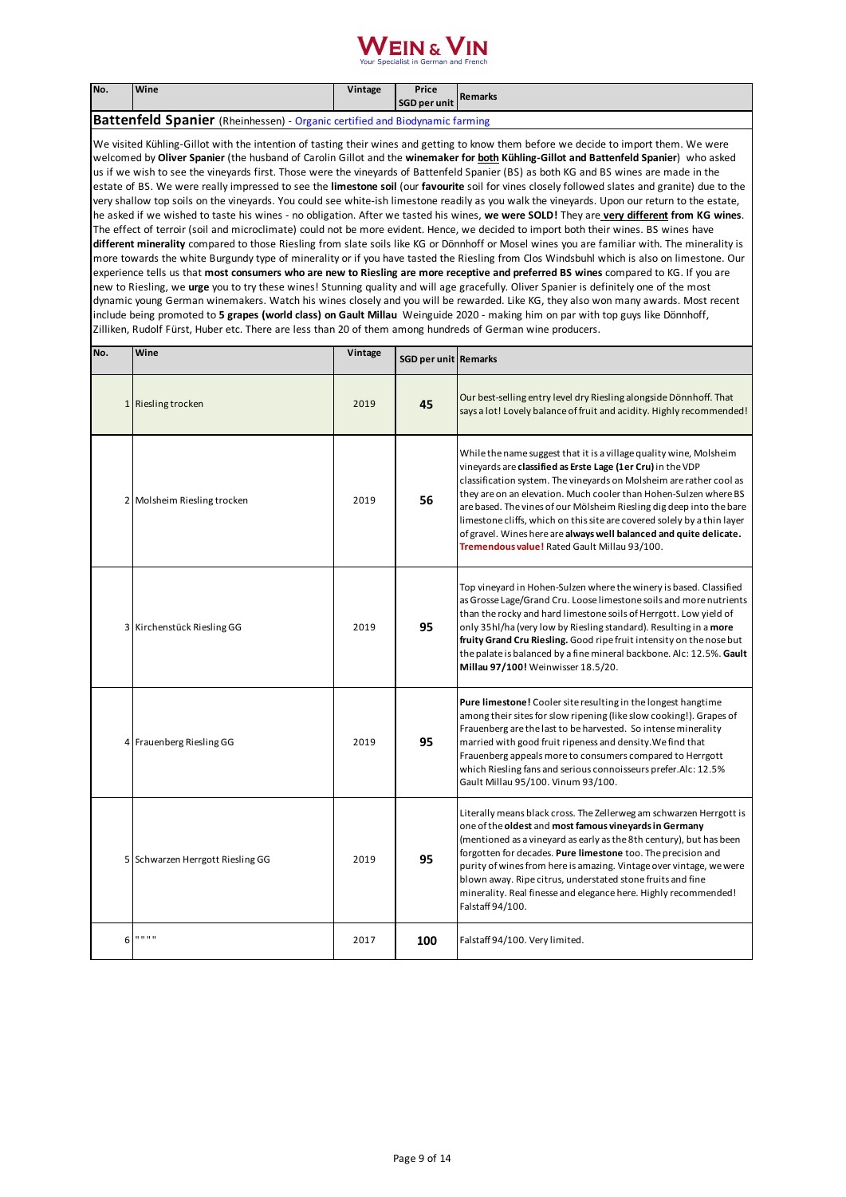

| No.                                                                                | <b>Wine</b> | Vintage | Price<br>SGD per unit | Remarks |  |
|------------------------------------------------------------------------------------|-------------|---------|-----------------------|---------|--|
| <b>Battenfeld Spanier</b> (Rheinhessen) - Organic certified and Biodynamic farming |             |         |                       |         |  |

We visited Kühling-Gillot with the intention of tasting their wines and getting to know them before we decide to import them. We were welcomed by **Oliver Spanier** (the husband of Carolin Gillot and the **winemaker for both Kühling-Gillot and Battenfeld Spanier**) who asked us if we wish to see the vineyards first. Those were the vineyards of Battenfeld Spanier (BS) as both KG and BS wines are made in the estate of BS. We were really impressed to see the **limestone soil** (our **favourite** soil for vines closely followed slates and granite) due to the very shallow top soils on the vineyards. You could see white-ish limestone readily as you walk the vineyards. Upon our return to the estate, he asked if we wished to taste his wines - no obligation. After we tasted his wines, **we were SOLD!** They are **very different from KG wines**. The effect of terroir (soil and microclimate) could not be more evident. Hence, we decided to import both their wines. BS wines have **different minerality** compared to those Riesling from slate soils like KG or Dönnhoff or Mosel wines you are familiar with. The minerality is more towards the white Burgundy type of minerality or if you have tasted the Riesling from Clos Windsbuhl which is also on limestone. Our experience tells us that **most consumers who are new to Riesling are more receptive and preferred BS wines** compared to KG. If you are new to Riesling, we **urge** you to try these wines! Stunning quality and will age gracefully. Oliver Spanier is definitely one of the most dynamic young German winemakers. Watch his wines closely and you will be rewarded. Like KG, they also won many awards. Most recent include being promoted to **5 grapes (world class) on Gault Millau** Weinguide 2020 - making him on par with top guys like Dönnhoff, Zilliken, Rudolf Fürst, Huber etc. There are less than 20 of them among hundreds of German wine producers.

| No. | Wine                             | Vintage | SGD per unit Remarks |                                                                                                                                                                                                                                                                                                                                                                                                                                                                                                                                                       |
|-----|----------------------------------|---------|----------------------|-------------------------------------------------------------------------------------------------------------------------------------------------------------------------------------------------------------------------------------------------------------------------------------------------------------------------------------------------------------------------------------------------------------------------------------------------------------------------------------------------------------------------------------------------------|
|     | 1 Riesling trocken               | 2019    | 45                   | Our best-selling entry level dry Riesling alongside Dönnhoff. That<br>says a lot! Lovely balance of fruit and acidity. Highly recommended!                                                                                                                                                                                                                                                                                                                                                                                                            |
|     | 2 Molsheim Riesling trocken      | 2019    | 56                   | While the name suggest that it is a village quality wine, Molsheim<br>vineyards are classified as Erste Lage (1er Cru) in the VDP<br>classification system. The vineyards on Molsheim are rather cool as<br>they are on an elevation. Much cooler than Hohen-Sulzen where BS<br>are based. The vines of our Mölsheim Riesling dig deep into the bare<br>limestone cliffs, which on this site are covered solely by a thin layer<br>of gravel. Wines here are always well balanced and quite delicate.<br>Tremendous value! Rated Gault Millau 93/100. |
|     | 3 Kirchenstück Riesling GG       | 2019    | 95                   | Top vineyard in Hohen-Sulzen where the winery is based. Classified<br>as Grosse Lage/Grand Cru. Loose limestone soils and more nutrients<br>than the rocky and hard limestone soils of Herrgott. Low yield of<br>only 35hl/ha (very low by Riesling standard). Resulting in a more<br>fruity Grand Cru Riesling. Good ripe fruit intensity on the nose but<br>the palate is balanced by a fine mineral backbone. Alc: 12.5%. Gault<br>Millau 97/100! Weinwisser 18.5/20.                                                                              |
|     | 4 Frauenberg Riesling GG         | 2019    | 95                   | <b>Pure limestone!</b> Cooler site resulting in the longest hangtime<br>among their sites for slow ripening (like slow cooking!). Grapes of<br>Frauenberg are the last to be harvested. So intense minerality<br>married with good fruit ripeness and density. We find that<br>Frauenberg appeals more to consumers compared to Herrgott<br>which Riesling fans and serious connoisseurs prefer. Alc: 12.5%<br>Gault Millau 95/100. Vinum 93/100.                                                                                                     |
|     | 5 Schwarzen Herrgott Riesling GG | 2019    | 95                   | Literally means black cross. The Zellerweg am schwarzen Herrgott is<br>one of the oldest and most famous vineyards in Germany<br>(mentioned as a vineyard as early as the 8th century), but has been<br>forgotten for decades. Pure limestone too. The precision and<br>purity of wines from here is amazing. Vintage over vintage, we were<br>blown away. Ripe citrus, understated stone fruits and fine<br>minerality. Real finesse and elegance here. Highly recommended!<br>Falstaff 94/100.                                                      |
| 6   | .                                | 2017    | 100                  | Falstaff 94/100. Very limited.                                                                                                                                                                                                                                                                                                                                                                                                                                                                                                                        |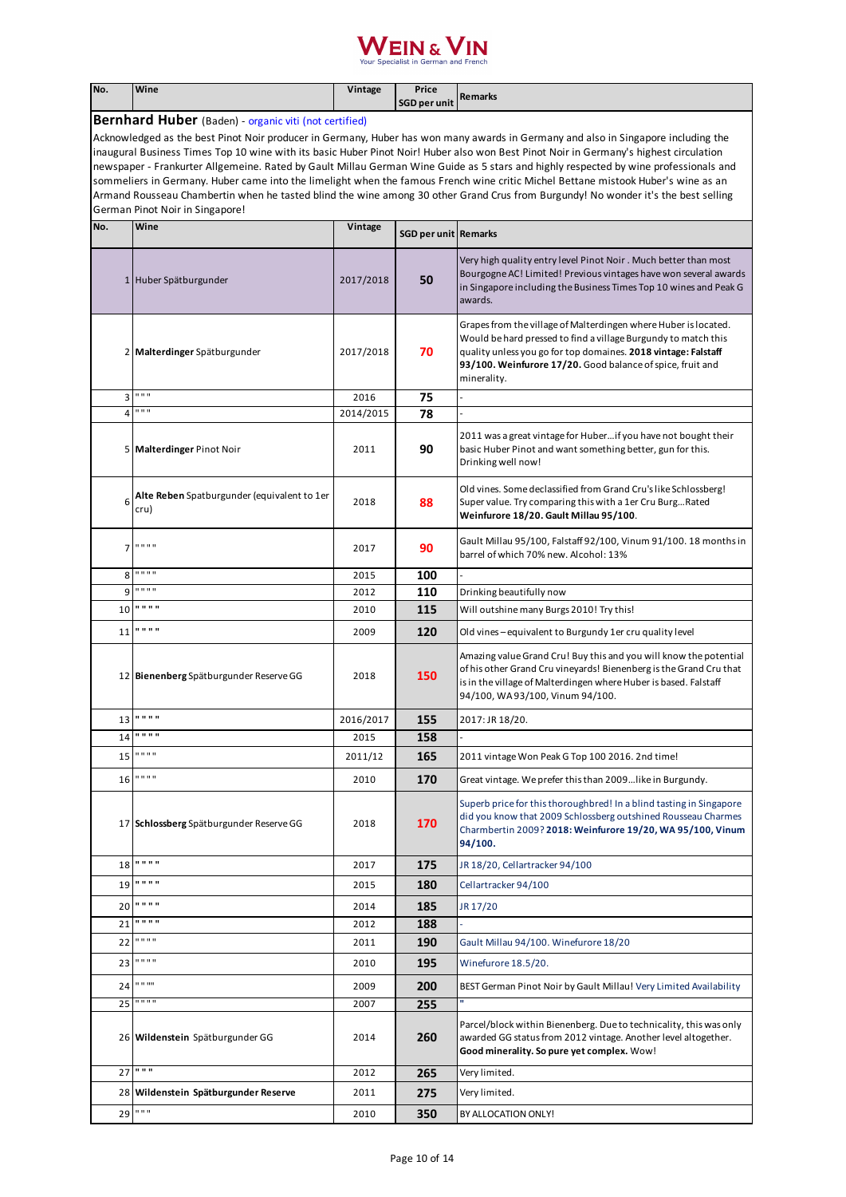| No.                             | Wine                                                                                                                                                                                                                                                                                                                                                                                                                                                                                                                                                                                                                                                                                         | Vintage   | Price<br><b>SGD per unit</b> | <b>Remarks</b>                                                                                                                                                                                                                                                                   |
|---------------------------------|----------------------------------------------------------------------------------------------------------------------------------------------------------------------------------------------------------------------------------------------------------------------------------------------------------------------------------------------------------------------------------------------------------------------------------------------------------------------------------------------------------------------------------------------------------------------------------------------------------------------------------------------------------------------------------------------|-----------|------------------------------|----------------------------------------------------------------------------------------------------------------------------------------------------------------------------------------------------------------------------------------------------------------------------------|
|                                 | <b>Bernhard Huber</b> (Baden) - organic viti (not certified)                                                                                                                                                                                                                                                                                                                                                                                                                                                                                                                                                                                                                                 |           |                              |                                                                                                                                                                                                                                                                                  |
| German Pinot Noir in Singapore! | Acknowledged as the best Pinot Noir producer in Germany, Huber has won many awards in Germany and also in Singapore including the<br>inaugural Business Times Top 10 wine with its basic Huber Pinot Noir! Huber also won Best Pinot Noir in Germany's highest circulation<br>newspaper - Frankurter Allgemeine. Rated by Gault Millau German Wine Guide as 5 stars and highly respected by wine professionals and<br>sommeliers in Germany. Huber came into the limelight when the famous French wine critic Michel Bettane mistook Huber's wine as an<br>Armand Rousseau Chambertin when he tasted blind the wine among 30 other Grand Crus from Burgundy! No wonder it's the best selling |           |                              |                                                                                                                                                                                                                                                                                  |
| No.                             | Wine                                                                                                                                                                                                                                                                                                                                                                                                                                                                                                                                                                                                                                                                                         | Vintage   | <b>SGD per unit Remarks</b>  |                                                                                                                                                                                                                                                                                  |
|                                 | 1 Huber Spätburgunder                                                                                                                                                                                                                                                                                                                                                                                                                                                                                                                                                                                                                                                                        | 2017/2018 | 50                           | Very high quality entry level Pinot Noir. Much better than most<br>Bourgogne AC! Limited! Previous vintages have won several awards<br>in Singapore including the Business Times Top 10 wines and Peak G<br>awards.                                                              |
|                                 | 2 Malterdinger Spätburgunder                                                                                                                                                                                                                                                                                                                                                                                                                                                                                                                                                                                                                                                                 | 2017/2018 | 70                           | Grapes from the village of Malterdingen where Huber is located.<br>Would be hard pressed to find a village Burgundy to match this<br>quality unless you go for top domaines. 2018 vintage: Falstaff<br>93/100. Weinfurore 17/20. Good balance of spice, fruit and<br>minerality. |
| 3                               | $0.0\,0.0$                                                                                                                                                                                                                                                                                                                                                                                                                                                                                                                                                                                                                                                                                   | 2016      | 75                           |                                                                                                                                                                                                                                                                                  |
| 4                               | 0.0.0                                                                                                                                                                                                                                                                                                                                                                                                                                                                                                                                                                                                                                                                                        | 2014/2015 | 78                           |                                                                                                                                                                                                                                                                                  |
|                                 | 5 Malterdinger Pinot Noir                                                                                                                                                                                                                                                                                                                                                                                                                                                                                                                                                                                                                                                                    | 2011      | 90                           | 2011 was a great vintage for Huber if you have not bought their<br>basic Huber Pinot and want something better, gun for this.<br>Drinking well now!                                                                                                                              |
| 6                               | Alte Reben Spatburgunder (equivalent to 1er<br>cru)                                                                                                                                                                                                                                                                                                                                                                                                                                                                                                                                                                                                                                          | 2018      | 88                           | Old vines. Some declassified from Grand Cru's like Schlossberg!<br>Super value. Try comparing this with a 1er Cru BurgRated<br>Weinfurore 18/20. Gault Millau 95/100.                                                                                                            |
| $\overline{7}$                  | $0.0\,0.0$                                                                                                                                                                                                                                                                                                                                                                                                                                                                                                                                                                                                                                                                                   | 2017      | 90                           | Gault Millau 95/100, Falstaff 92/100, Vinum 91/100. 18 months in<br>barrel of which 70% new. Alcohol: 13%                                                                                                                                                                        |
| 8                               | 0.0.0.0                                                                                                                                                                                                                                                                                                                                                                                                                                                                                                                                                                                                                                                                                      | 2015      | 100                          |                                                                                                                                                                                                                                                                                  |
| 9                               | 0.0.0.0                                                                                                                                                                                                                                                                                                                                                                                                                                                                                                                                                                                                                                                                                      | 2012      | 110                          | Drinking beautifully now                                                                                                                                                                                                                                                         |
| 10                              | .                                                                                                                                                                                                                                                                                                                                                                                                                                                                                                                                                                                                                                                                                            | 2010      | 115                          | Will outshine many Burgs 2010! Try this!                                                                                                                                                                                                                                         |
| 11                              | .                                                                                                                                                                                                                                                                                                                                                                                                                                                                                                                                                                                                                                                                                            | 2009      | 120                          | Old vines-equivalent to Burgundy 1er cru quality level                                                                                                                                                                                                                           |
|                                 | 12 Bienenberg Spätburgunder Reserve GG                                                                                                                                                                                                                                                                                                                                                                                                                                                                                                                                                                                                                                                       | 2018      | 150                          | Amazing value Grand Cru! Buy this and you will know the potential<br>of his other Grand Cru vineyards! Bienenberg is the Grand Cru that<br>is in the village of Malterdingen where Huber is based. Falstaff<br>94/100, WA 93/100, Vinum 94/100.                                  |
| 13                              | 0.0.0.0                                                                                                                                                                                                                                                                                                                                                                                                                                                                                                                                                                                                                                                                                      | 2016/2017 | 155                          | 2017: JR 18/20.                                                                                                                                                                                                                                                                  |
| 14                              | 0.0.0.0                                                                                                                                                                                                                                                                                                                                                                                                                                                                                                                                                                                                                                                                                      | 2015      | 158                          |                                                                                                                                                                                                                                                                                  |
| 15                              | 0.0.0.0                                                                                                                                                                                                                                                                                                                                                                                                                                                                                                                                                                                                                                                                                      | 2011/12   | 165                          | 2011 vintage Won Peak G Top 100 2016. 2nd time!                                                                                                                                                                                                                                  |
| 16                              | .                                                                                                                                                                                                                                                                                                                                                                                                                                                                                                                                                                                                                                                                                            | 2010      | 170                          | Great vintage. We prefer this than 2009like in Burgundy.                                                                                                                                                                                                                         |
|                                 | 17 Schlossberg Spätburgunder Reserve GG                                                                                                                                                                                                                                                                                                                                                                                                                                                                                                                                                                                                                                                      | 2018      | 170                          | Superb price for this thoroughbred! In a blind tasting in Singapore<br>did you know that 2009 Schlossberg outshined Rousseau Charmes<br>Charmbertin 2009? 2018: Weinfurore 19/20, WA 95/100, Vinum<br>94/100.                                                                    |
| 18                              | 0.0.0.0                                                                                                                                                                                                                                                                                                                                                                                                                                                                                                                                                                                                                                                                                      | 2017      | 175                          | JR 18/20, Cellartracker 94/100                                                                                                                                                                                                                                                   |
| 19                              | .                                                                                                                                                                                                                                                                                                                                                                                                                                                                                                                                                                                                                                                                                            | 2015      | 180                          | Cellartracker 94/100                                                                                                                                                                                                                                                             |
| 20                              | .                                                                                                                                                                                                                                                                                                                                                                                                                                                                                                                                                                                                                                                                                            | 2014      | 185                          | JR 17/20                                                                                                                                                                                                                                                                         |
| 21                              | .                                                                                                                                                                                                                                                                                                                                                                                                                                                                                                                                                                                                                                                                                            | 2012      | 188                          |                                                                                                                                                                                                                                                                                  |
| 22                              | 0.0.0.0                                                                                                                                                                                                                                                                                                                                                                                                                                                                                                                                                                                                                                                                                      | 2011      | 190                          | Gault Millau 94/100. Winefurore 18/20                                                                                                                                                                                                                                            |
| 23                              | .                                                                                                                                                                                                                                                                                                                                                                                                                                                                                                                                                                                                                                                                                            | 2010      | 195                          | Winefurore 18.5/20.                                                                                                                                                                                                                                                              |
| 24                              | 0.0.00                                                                                                                                                                                                                                                                                                                                                                                                                                                                                                                                                                                                                                                                                       | 2009      | 200                          | BEST German Pinot Noir by Gault Millau! Very Limited Availability                                                                                                                                                                                                                |
| 25                              | 1.1111                                                                                                                                                                                                                                                                                                                                                                                                                                                                                                                                                                                                                                                                                       | 2007      | 255                          |                                                                                                                                                                                                                                                                                  |
|                                 | 26 Wildenstein Spätburgunder GG                                                                                                                                                                                                                                                                                                                                                                                                                                                                                                                                                                                                                                                              | 2014      | 260                          | Parcel/block within Bienenberg. Due to technicality, this was only<br>awarded GG status from 2012 vintage. Another level altogether.<br>Good minerality. So pure yet complex. Wow!                                                                                               |
| 27                              | 0.0.0                                                                                                                                                                                                                                                                                                                                                                                                                                                                                                                                                                                                                                                                                        | 2012      | 265                          | Very limited.                                                                                                                                                                                                                                                                    |
|                                 | 28 Wildenstein Spätburgunder Reserve                                                                                                                                                                                                                                                                                                                                                                                                                                                                                                                                                                                                                                                         | 2011      | 275                          | Very limited.                                                                                                                                                                                                                                                                    |
| 29                              | $\mathbf{u}$ as $\mathbf{u}$                                                                                                                                                                                                                                                                                                                                                                                                                                                                                                                                                                                                                                                                 | 2010      | 350                          | BY ALLOCATION ONLY!                                                                                                                                                                                                                                                              |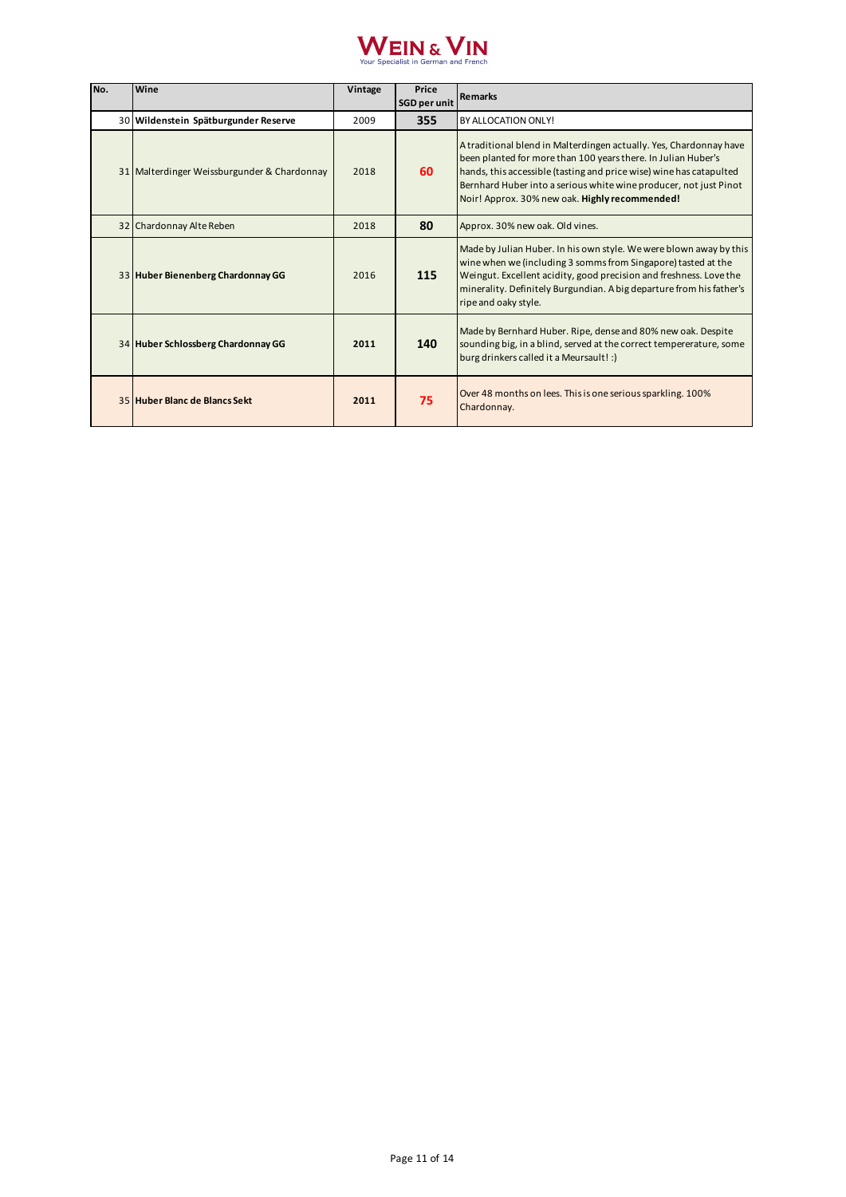

| No. | Wine                                        | Vintage | Price<br><b>SGD per unit</b> | <b>Remarks</b>                                                                                                                                                                                                                                                                                                                    |
|-----|---------------------------------------------|---------|------------------------------|-----------------------------------------------------------------------------------------------------------------------------------------------------------------------------------------------------------------------------------------------------------------------------------------------------------------------------------|
|     | 30 Wildenstein Spätburgunder Reserve        | 2009    | 355                          | BY ALLOCATION ONLY!                                                                                                                                                                                                                                                                                                               |
|     | 31 Malterdinger Weissburgunder & Chardonnay | 2018    | 60                           | A traditional blend in Malterdingen actually. Yes, Chardonnay have<br>been planted for more than 100 years there. In Julian Huber's<br>hands, this accessible (tasting and price wise) wine has catapulted<br>Bernhard Huber into a serious white wine producer, not just Pinot<br>Noir! Approx. 30% new oak. Highly recommended! |
|     | 32 Chardonnay Alte Reben                    | 2018    | 80                           | Approx. 30% new oak. Old vines.                                                                                                                                                                                                                                                                                                   |
|     | 33 Huber Bienenberg Chardonnay GG           | 2016    | 115                          | Made by Julian Huber. In his own style. We were blown away by this<br>wine when we (including 3 somms from Singapore) tasted at the<br>Weingut. Excellent acidity, good precision and freshness. Love the<br>minerality. Definitely Burgundian. A big departure from his father's<br>ripe and oaky style.                         |
|     | 34 Huber Schlossberg Chardonnay GG          | 2011    | 140                          | Made by Bernhard Huber. Ripe, dense and 80% new oak. Despite<br>sounding big, in a blind, served at the correct tempererature, some<br>burg drinkers called it a Meursault! :)                                                                                                                                                    |
|     | 35 Huber Blanc de Blancs Sekt               | 2011    | 75                           | Over 48 months on lees. This is one serious sparkling. 100%<br>Chardonnay.                                                                                                                                                                                                                                                        |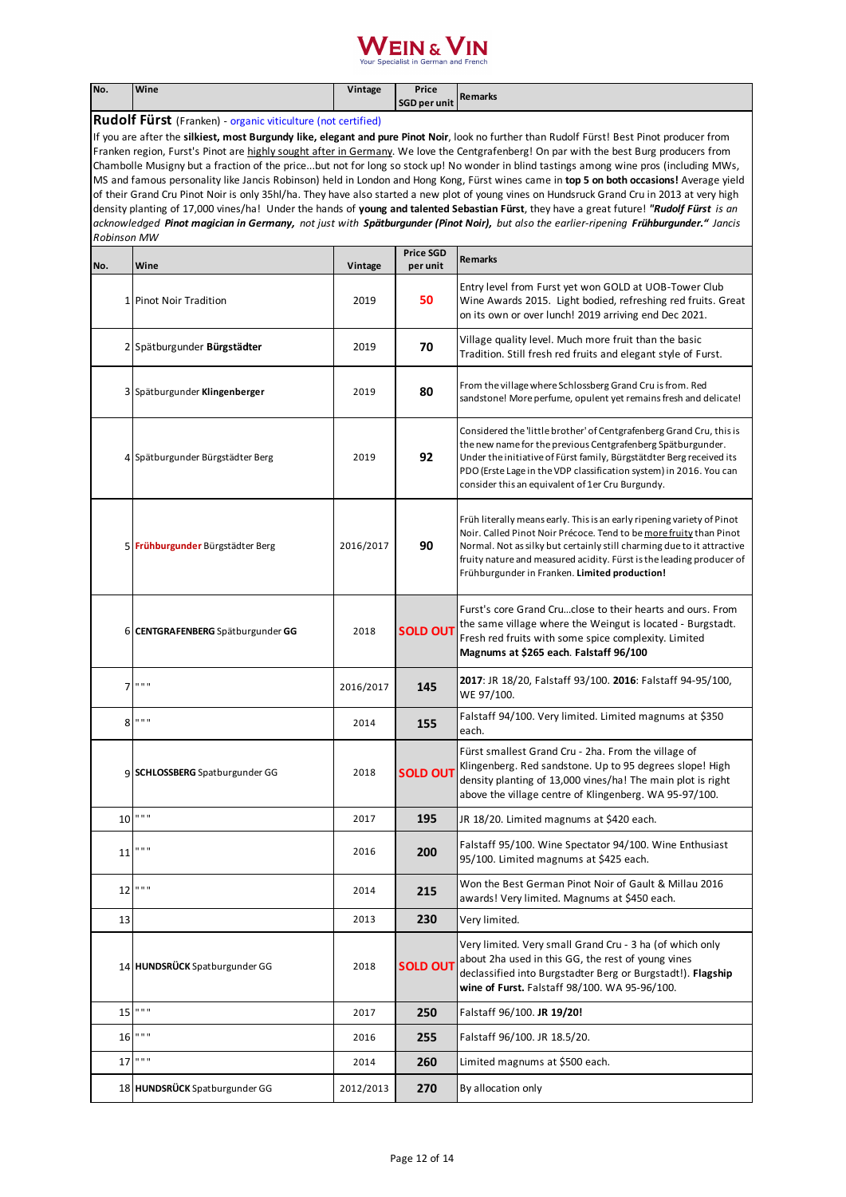| No.                                                                                                                                                                                                                                                                                                                                                                                                                                                                                                                                                                                                                                                                                                                                                                                                                                                                                                                                                                                                                                     | Wine                              | Vintage   | Price<br><b>SGD per unit</b> | <b>Remarks</b>                                                                                                                                                                                                                                                                                                                                  |  |
|-----------------------------------------------------------------------------------------------------------------------------------------------------------------------------------------------------------------------------------------------------------------------------------------------------------------------------------------------------------------------------------------------------------------------------------------------------------------------------------------------------------------------------------------------------------------------------------------------------------------------------------------------------------------------------------------------------------------------------------------------------------------------------------------------------------------------------------------------------------------------------------------------------------------------------------------------------------------------------------------------------------------------------------------|-----------------------------------|-----------|------------------------------|-------------------------------------------------------------------------------------------------------------------------------------------------------------------------------------------------------------------------------------------------------------------------------------------------------------------------------------------------|--|
| <b>Rudolf Fürst</b> (Franken) - organic viticulture (not certified)                                                                                                                                                                                                                                                                                                                                                                                                                                                                                                                                                                                                                                                                                                                                                                                                                                                                                                                                                                     |                                   |           |                              |                                                                                                                                                                                                                                                                                                                                                 |  |
| If you are after the silkiest, most Burgundy like, elegant and pure Pinot Noir, look no further than Rudolf Fürst! Best Pinot producer from<br>Franken region, Furst's Pinot are highly sought after in Germany. We love the Centgrafenberg! On par with the best Burg producers from<br>Chambolle Musigny but a fraction of the pricebut not for long so stock up! No wonder in blind tastings among wine pros (including MWs,<br>MS and famous personality like Jancis Robinson) held in London and Hong Kong, Fürst wines came in top 5 on both occasions! Average yield<br>of their Grand Cru Pinot Noir is only 35hl/ha. They have also started a new plot of young vines on Hundsruck Grand Cru in 2013 at very high<br>density planting of 17,000 vines/ha! Under the hands of young and talented Sebastian Fürst, they have a great future! "Rudolf Fürst is an<br>acknowledged Pinot magician in Germany, not just with Spätburgunder (Pinot Noir), but also the earlier-ripening Frühburgunder." Jancis<br><b>Robinson MW</b> |                                   |           |                              |                                                                                                                                                                                                                                                                                                                                                 |  |
| No.                                                                                                                                                                                                                                                                                                                                                                                                                                                                                                                                                                                                                                                                                                                                                                                                                                                                                                                                                                                                                                     | Wine                              | Vintage   | <b>Price SGD</b><br>per unit | <b>Remarks</b>                                                                                                                                                                                                                                                                                                                                  |  |
|                                                                                                                                                                                                                                                                                                                                                                                                                                                                                                                                                                                                                                                                                                                                                                                                                                                                                                                                                                                                                                         | 1 Pinot Noir Tradition            | 2019      | 50                           | Entry level from Furst yet won GOLD at UOB-Tower Club<br>Wine Awards 2015. Light bodied, refreshing red fruits. Great<br>on its own or over lunch! 2019 arriving end Dec 2021.                                                                                                                                                                  |  |
|                                                                                                                                                                                                                                                                                                                                                                                                                                                                                                                                                                                                                                                                                                                                                                                                                                                                                                                                                                                                                                         | 2 Spätburgunder Bürgstädter       | 2019      | 70                           | Village quality level. Much more fruit than the basic<br>Tradition. Still fresh red fruits and elegant style of Furst.                                                                                                                                                                                                                          |  |
|                                                                                                                                                                                                                                                                                                                                                                                                                                                                                                                                                                                                                                                                                                                                                                                                                                                                                                                                                                                                                                         | 3 Spätburgunder Klingenberger     | 2019      | 80                           | From the village where Schlossberg Grand Cru is from. Red<br>sandstone! More perfume, opulent yet remains fresh and delicate!                                                                                                                                                                                                                   |  |
|                                                                                                                                                                                                                                                                                                                                                                                                                                                                                                                                                                                                                                                                                                                                                                                                                                                                                                                                                                                                                                         | 4 Spätburgunder Bürgstädter Berg  | 2019      | 92                           | Considered the 'little brother' of Centgrafenberg Grand Cru, this is<br>the new name for the previous Centgrafenberg Spätburgunder.<br>Under the initiative of Fürst family, Bürgstätdter Berg received its<br>PDO (Erste Lage in the VDP classification system) in 2016. You can<br>consider this an equivalent of 1er Cru Burgundy.           |  |
|                                                                                                                                                                                                                                                                                                                                                                                                                                                                                                                                                                                                                                                                                                                                                                                                                                                                                                                                                                                                                                         | 5 Frühburgunder Bürgstädter Berg  | 2016/2017 | 90                           | Früh literally means early. This is an early ripening variety of Pinot<br>Noir. Called Pinot Noir Précoce. Tend to be more fruity than Pinot<br>Normal. Not as silky but certainly still charming due to it attractive<br>fruity nature and measured acidity. Fürst is the leading producer of<br>Frühburgunder in Franken. Limited production! |  |
|                                                                                                                                                                                                                                                                                                                                                                                                                                                                                                                                                                                                                                                                                                                                                                                                                                                                                                                                                                                                                                         | 6 CENTGRAFENBERG Spätburgunder GG | 2018      | <b>SOLD OUT</b>              | Furst's core Grand Cruclose to their hearts and ours. From<br>the same village where the Weingut is located - Burgstadt.<br>Fresh red fruits with some spice complexity. Limited<br>Magnums at \$265 each. Falstaff 96/100                                                                                                                      |  |
| 7                                                                                                                                                                                                                                                                                                                                                                                                                                                                                                                                                                                                                                                                                                                                                                                                                                                                                                                                                                                                                                       | 0.0.0                             | 2016/2017 | 145                          | 2017: JR 18/20, Falstaff 93/100. 2016: Falstaff 94-95/100,<br>WE 97/100.                                                                                                                                                                                                                                                                        |  |
|                                                                                                                                                                                                                                                                                                                                                                                                                                                                                                                                                                                                                                                                                                                                                                                                                                                                                                                                                                                                                                         | $8$ """                           | 2014      | 155                          | Falstaff 94/100. Very limited. Limited magnums at \$350<br>each.                                                                                                                                                                                                                                                                                |  |
|                                                                                                                                                                                                                                                                                                                                                                                                                                                                                                                                                                                                                                                                                                                                                                                                                                                                                                                                                                                                                                         | 9 SCHLOSSBERG Spatburgunder GG    | 2018      | <b>SOLD OUT</b>              | Fürst smallest Grand Cru - 2ha. From the village of<br>Klingenberg. Red sandstone. Up to 95 degrees slope! High<br>density planting of 13,000 vines/ha! The main plot is right<br>above the village centre of Klingenberg. WA 95-97/100.                                                                                                        |  |
|                                                                                                                                                                                                                                                                                                                                                                                                                                                                                                                                                                                                                                                                                                                                                                                                                                                                                                                                                                                                                                         | $10$ " " "                        | 2017      | 195                          | JR 18/20. Limited magnums at \$420 each.                                                                                                                                                                                                                                                                                                        |  |
| 11                                                                                                                                                                                                                                                                                                                                                                                                                                                                                                                                                                                                                                                                                                                                                                                                                                                                                                                                                                                                                                      | .                                 | 2016      | 200                          | Falstaff 95/100. Wine Spectator 94/100. Wine Enthusiast<br>95/100. Limited magnums at \$425 each.                                                                                                                                                                                                                                               |  |
| 12                                                                                                                                                                                                                                                                                                                                                                                                                                                                                                                                                                                                                                                                                                                                                                                                                                                                                                                                                                                                                                      | $\mathbf{u}$ in $\mathbf{u}$      | 2014      | 215                          | Won the Best German Pinot Noir of Gault & Millau 2016<br>awards! Very limited. Magnums at \$450 each.                                                                                                                                                                                                                                           |  |
| 13                                                                                                                                                                                                                                                                                                                                                                                                                                                                                                                                                                                                                                                                                                                                                                                                                                                                                                                                                                                                                                      |                                   | 2013      | 230                          | Very limited.                                                                                                                                                                                                                                                                                                                                   |  |
|                                                                                                                                                                                                                                                                                                                                                                                                                                                                                                                                                                                                                                                                                                                                                                                                                                                                                                                                                                                                                                         | 14 HUNDSRÜCK Spatburgunder GG     | 2018      | <b>SOLD OUT</b>              | Very limited. Very small Grand Cru - 3 ha (of which only<br>about 2ha used in this GG, the rest of young vines<br>declassified into Burgstadter Berg or Burgstadt!). Flagship<br>wine of Furst. Falstaff 98/100. WA 95-96/100.                                                                                                                  |  |
|                                                                                                                                                                                                                                                                                                                                                                                                                                                                                                                                                                                                                                                                                                                                                                                                                                                                                                                                                                                                                                         | $15$ """                          | 2017      | 250                          | Falstaff 96/100. JR 19/20!                                                                                                                                                                                                                                                                                                                      |  |
|                                                                                                                                                                                                                                                                                                                                                                                                                                                                                                                                                                                                                                                                                                                                                                                                                                                                                                                                                                                                                                         | $16$ """                          | 2016      | 255                          | Falstaff 96/100. JR 18.5/20.                                                                                                                                                                                                                                                                                                                    |  |
|                                                                                                                                                                                                                                                                                                                                                                                                                                                                                                                                                                                                                                                                                                                                                                                                                                                                                                                                                                                                                                         | $17$ ""                           | 2014      | 260                          | Limited magnums at \$500 each.                                                                                                                                                                                                                                                                                                                  |  |
|                                                                                                                                                                                                                                                                                                                                                                                                                                                                                                                                                                                                                                                                                                                                                                                                                                                                                                                                                                                                                                         | 18 HUNDSRÜCK Spatburgunder GG     | 2012/2013 | 270                          | By allocation only                                                                                                                                                                                                                                                                                                                              |  |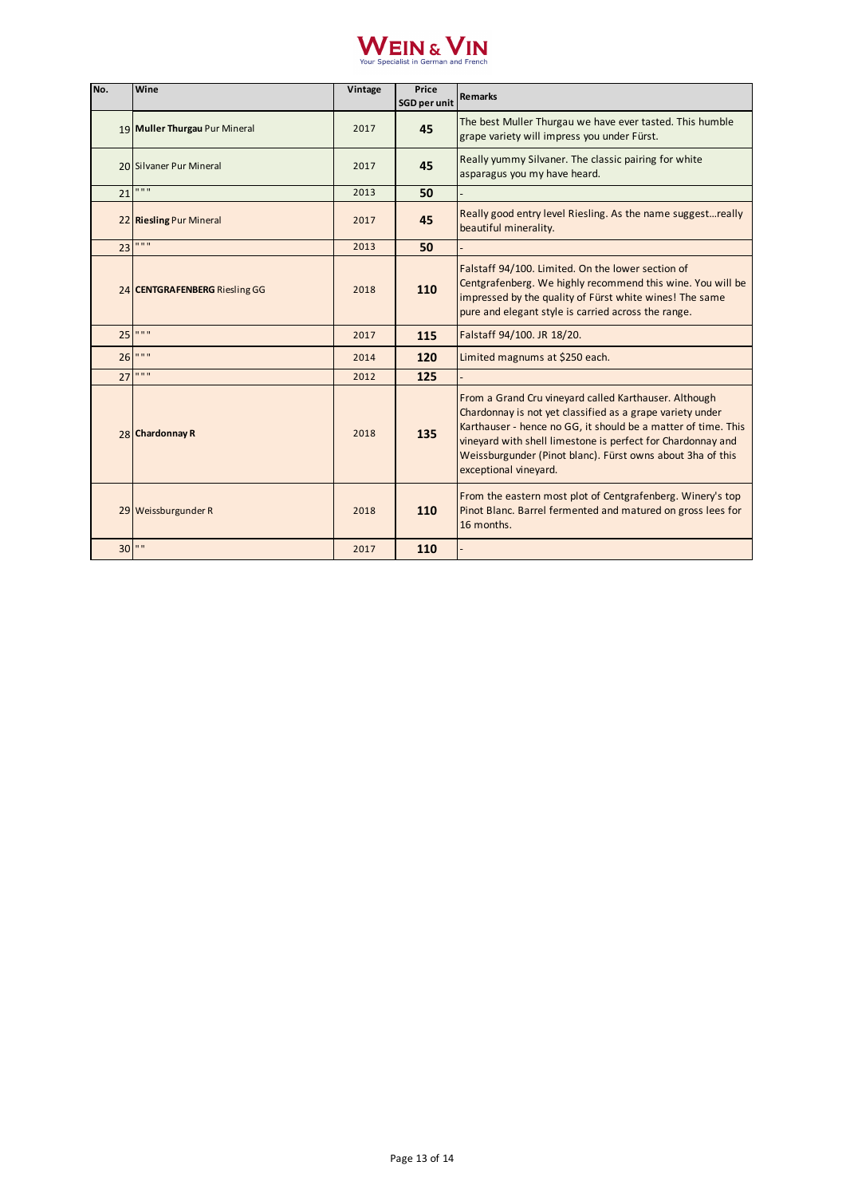

| No. | Wine                          | Vintage | Price<br>SGD per unit | <b>Remarks</b>                                                                                                                                                                                                                                                                                                                            |
|-----|-------------------------------|---------|-----------------------|-------------------------------------------------------------------------------------------------------------------------------------------------------------------------------------------------------------------------------------------------------------------------------------------------------------------------------------------|
|     | 19 Muller Thurgau Pur Mineral | 2017    | 45                    | The best Muller Thurgau we have ever tasted. This humble<br>grape variety will impress you under Fürst.                                                                                                                                                                                                                                   |
|     | 20 Silvaner Pur Mineral       | 2017    | 45                    | Really yummy Silvaner. The classic pairing for white<br>asparagus you my have heard.                                                                                                                                                                                                                                                      |
| 21  | 0.0.0                         | 2013    | 50                    |                                                                                                                                                                                                                                                                                                                                           |
|     | 22 Riesling Pur Mineral       | 2017    | 45                    | Really good entry level Riesling. As the name suggestreally<br>beautiful minerality.                                                                                                                                                                                                                                                      |
| 23  | $\mathbf{u}$ as $\mathbf{u}$  | 2013    | 50                    |                                                                                                                                                                                                                                                                                                                                           |
|     | 24 CENTGRAFENBERG Riesling GG | 2018    | 110                   | Falstaff 94/100. Limited. On the lower section of<br>Centgrafenberg. We highly recommend this wine. You will be<br>impressed by the quality of Fürst white wines! The same<br>pure and elegant style is carried across the range.                                                                                                         |
|     | 25 " " "                      | 2017    | 115                   | Falstaff 94/100. JR 18/20.                                                                                                                                                                                                                                                                                                                |
|     | 26 " " "                      | 2014    | 120                   | Limited magnums at \$250 each.                                                                                                                                                                                                                                                                                                            |
| 27  | 0.0.0                         | 2012    | 125                   |                                                                                                                                                                                                                                                                                                                                           |
|     | 28 Chardonnay R               | 2018    | 135                   | From a Grand Cru vineyard called Karthauser. Although<br>Chardonnay is not yet classified as a grape variety under<br>Karthauser - hence no GG, it should be a matter of time. This<br>vineyard with shell limestone is perfect for Chardonnay and<br>Weissburgunder (Pinot blanc). Fürst owns about 3ha of this<br>exceptional vineyard. |
|     | 29 Weissburgunder R           | 2018    | 110                   | From the eastern most plot of Centgrafenberg. Winery's top<br>Pinot Blanc. Barrel fermented and matured on gross lees for<br>16 months.                                                                                                                                                                                                   |
| 30  | $\mathbf{H}$                  | 2017    | 110                   |                                                                                                                                                                                                                                                                                                                                           |